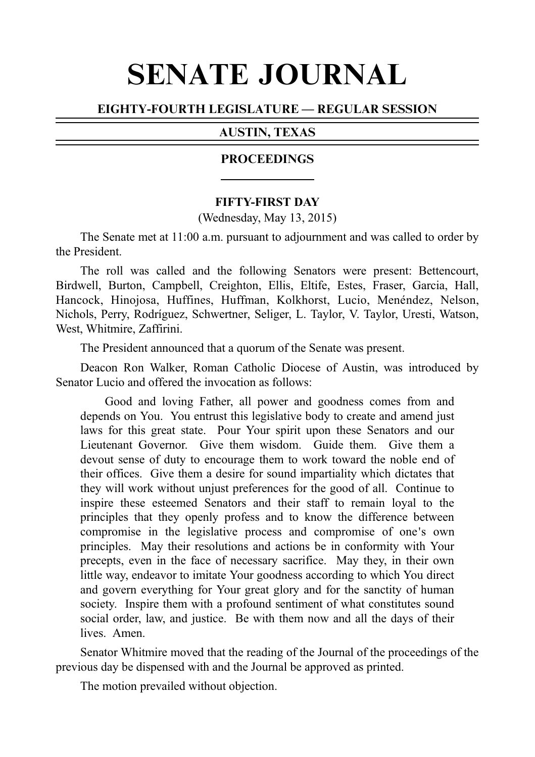# SENATE JOURNAL

# EIGHTY-FOURTH LEGISLATURE — REGULAR SESSION

### AUSTIN, TEXAS

### PROCEEDINGS

#### **FIFTY-FIRST DAY**

(Wednesday, May 13, 2015)

The Senate met at 11:00 a.m. pursuant to adjournment and was called to order by the President.

The roll was called and the following Senators were present: Bettencourt, Birdwell, Burton, Campbell, Creighton, Ellis, Eltife, Estes, Fraser, Garcia, Hall, Hancock, Hinojosa, Huffines, Huffman, Kolkhorst, Lucio, Menéndez, Nelson, Nichols, Perry, Rodríguez, Schwertner, Seliger, L. Taylor, V. Taylor, Uresti, Watson, West, Whitmire, Zaffirini.

The President announced that a quorum of the Senate was present.

Deacon Ron Walker, Roman Catholic Diocese of Austin, was introduced by Senator Lucio and offered the invocation as follows:

Good and loving Father, all power and goodness comes from and depends on You. You entrust this legislative body to create and amend just laws for this great state. Pour Your spirit upon these Senators and our Lieutenant Governor. Give them wisdom. Guide them. Give them a devout sense of duty to encourage them to work toward the noble end of their offices. Give them a desire for sound impartiality which dictates that they will work without unjust preferences for the good of all. Continue to inspire these esteemed Senators and their staff to remain loyal to the principles that they openly profess and to know the difference between compromise in the legislative process and compromise of one's own principles. May their resolutions and actions be in conformity with Your precepts, even in the face of necessary sacrifice. May they, in their own little way, endeavor to imitate Your goodness according to which You direct and govern everything for Your great glory and for the sanctity of human society. Inspire them with a profound sentiment of what constitutes sound social order, law, and justice. Be with them now and all the days of their lives. Amen.

Senator Whitmire moved that the reading of the Journal of the proceedings of the previous day be dispensed with and the Journal be approved as printed.

The motion prevailed without objection.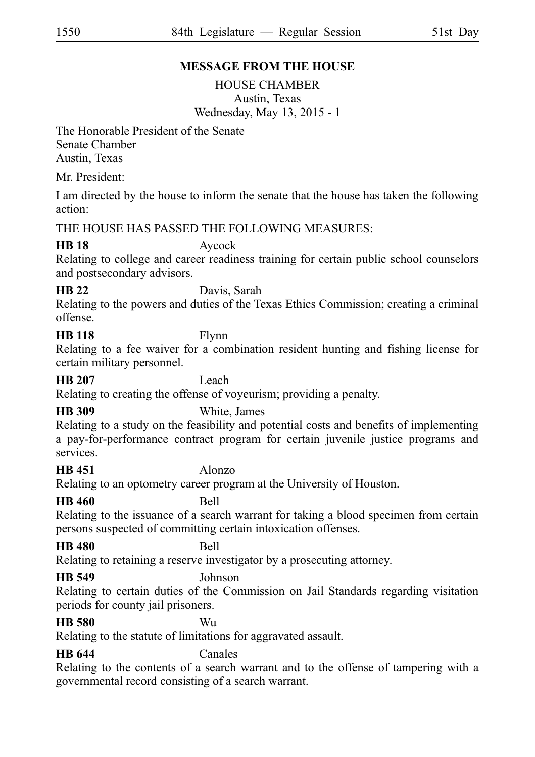# **MESSAGE FROM THE HOUSE**

HOUSE CHAMBER Austin, Texas Wednesday, May 13, 2015 - 1

The Honorable President of the Senate Senate Chamber Austin, Texas

Mr. President:

I am directed by the house to inform the senate that the house has taken the following action:

## THE HOUSE HAS PASSED THE FOLLOWING MEASURES:

## **HB 18** Aycock

Relating to college and career readiness training for certain public school counselors and postsecondary advisors.

# **HB 22** Davis, Sarah

Relating to the powers and duties of the Texas Ethics Commission; creating a criminal offense.

# **HB 118** Flynn

Relating to a fee waiver for a combination resident hunting and fishing license for certain military personnel.

### **HB 207** Leach

Relating to creating the offense of voyeurism; providing a penalty.

# **HB 309** White, James

Relating to a study on the feasibility and potential costs and benefits of implementing a pay-for-performance contract program for certain juvenile justice programs and services.

# **HB 451** Alonzo

Relating to an optometry career program at the University of Houston.

**HB 460** Bell

Relating to the issuance of a search warrant for taking a blood specimen from certain persons suspected of committing certain intoxication offenses.

# **HB 480** Bell

Relating to retaining a reserve investigator by a prosecuting attorney.

# **HB 549** Johnson

Relating to certain duties of the Commission on Jail Standards regarding visitation periods for county jail prisoners.

#### **HB 580** Wu

Relating to the statute of limitations for aggravated assault.

## **HB 644** Canales

Relating to the contents of a search warrant and to the offense of tampering with a governmental record consisting of a search warrant.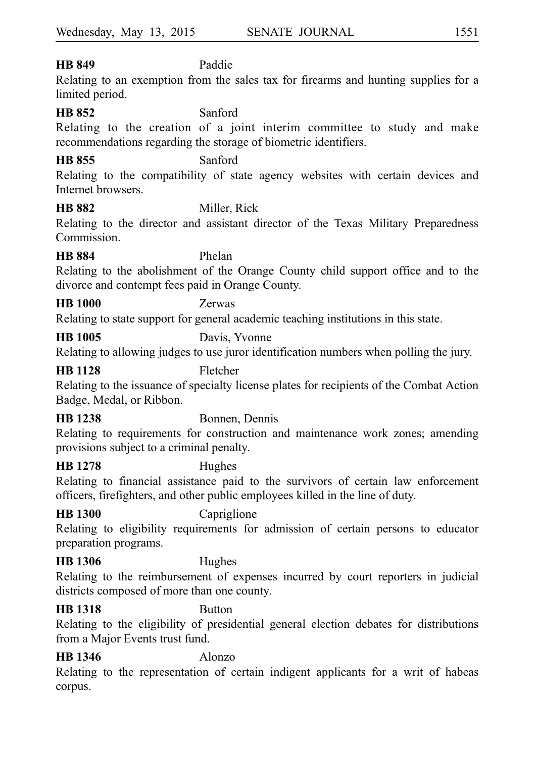#### **HB 849** Paddie

Relating to an exemption from the sales tax for firearms and hunting supplies for a limited period.

#### **HB 852** Sanford

Relating to the creation of a joint interim committee to study and make recommendations regarding the storage of biometric identifiers.

#### **HB 855** Sanford

Relating to the compatibility of state agency websites with certain devices and Internet browsers.

#### **HB 882** Miller, Rick

Relating to the director and assistant director of the Texas Military Preparedness Commission.

#### **HB 884** Phelan

Relating to the abolishment of the Orange County child support office and to the divorce and contempt fees paid in Orange County.

### **HB 1000** Zerwas

Relating to state support for general academic teaching institutions in this state.

# **HB 1005** Davis, Yvonne

Relating to allowing judges to use juror identification numbers when polling the jury.

#### **HB 1128** Fletcher

Relating to the issuance of specialty license plates for recipients of the Combat Action Badge, Medal, or Ribbon.

## **HB 1238** Bonnen, Dennis

Relating to requirements for construction and maintenance work zones; amending provisions subject to a criminal penalty.

#### **HB 1278** Hughes

Relating to financial assistance paid to the survivors of certain law enforcement officers, firefighters, and other public employees killed in the line of duty.

# **HB 1300** Capriglione

Relating to eligibility requirements for admission of certain persons to educator preparation programs.

# **HB 1306** Hughes

Relating to the reimbursement of expenses incurred by court reporters in judicial districts composed of more than one county.

# **HB 1318** Button

Relating to the eligibility of presidential general election debates for distributions from a Major Events trust fund.

# **HB 1346** Alonzo

Relating to the representation of certain indigent applicants for a writ of habeas corpus.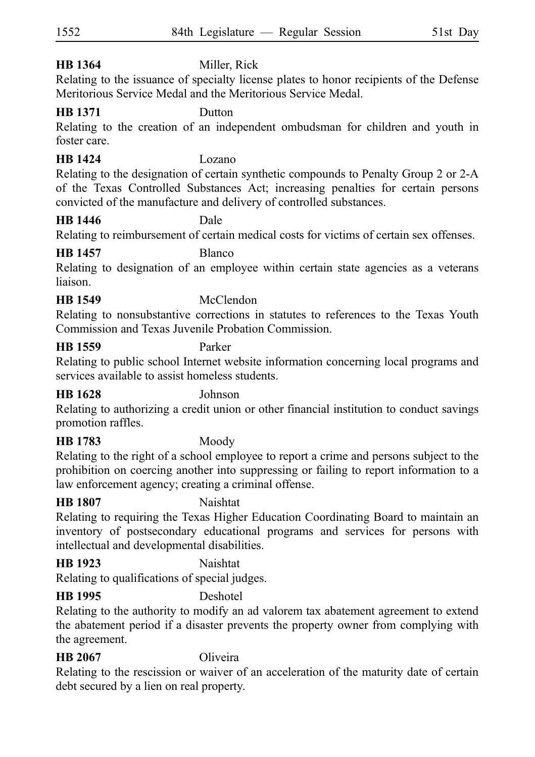# **HB 1364** Miller, Rick

Relating to the issuance of specialty license plates to honor recipients of the Defense Meritorious Service Medal and the Meritorious Service Medal.

#### **HB 1371** Dutton

Relating to the creation of an independent ombudsman for children and youth in foster care.

### **HB 1424** Lozano

Relating to the designation of certain synthetic compounds to Penalty Group 2 or 2-A of the Texas Controlled Substances Act; increasing penalties for certain persons convicted of the manufacture and delivery of controlled substances.

### **HB 1446** Dale

Relating to reimbursement of certain medical costs for victims of certain sex offenses.

# **HB 1457** Blanco

Relating to designation of an employee within certain state agencies as a veterans liaison.

# **HB 1549** McClendon

Relating to nonsubstantive corrections in statutes to references to the Texas Youth Commission and Texas Juvenile Probation Commission.

### **HB 1559** Parker

Relating to public school Internet website information concerning local programs and services available to assist homeless students.

#### **HB 1628** Johnson

Relating to authorizing a credit union or other financial institution to conduct savings promotion raffles.

# **HB 1783** Moody

Relating to the right of a school employee to report a crime and persons subject to the prohibition on coercing another into suppressing or failing to report information to a law enforcement agency; creating a criminal offense.

## **HB 1807** Naishtat

Relating to requiring the Texas Higher Education Coordinating Board to maintain an inventory of postsecondary educational programs and services for persons with intellectual and developmental disabilities.

## **HB 1923** Naishtat

Relating to qualifications of special judges.

# **HB 1995** Deshotel

Relating to the authority to modify an ad valorem tax abatement agreement to extend the abatement period if a disaster prevents the property owner from complying with the agreement.

# **HB 2067** Oliveira

Relating to the rescission or waiver of an acceleration of the maturity date of certain debt secured by a lien on real property.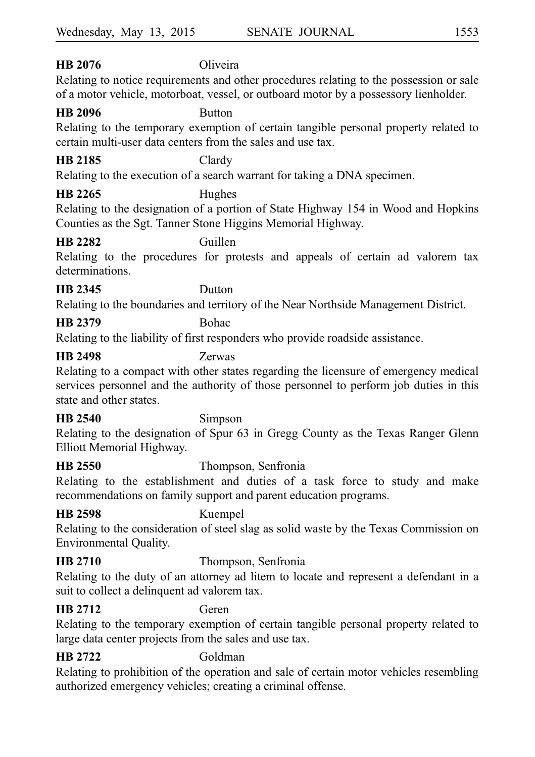# **HB 2076** Oliveira

Relating to notice requirements and other procedures relating to the possession or sale of a motor vehicle, motorboat, vessel, or outboard motor by a possessory lienholder.

#### **HB 2096** Button

Relating to the temporary exemption of certain tangible personal property related to certain multi-user data centers from the sales and use tax.

#### **HB 2185** Clardy

Relating to the execution of a search warrant for taking a DNA specimen.

# **HB 2265** Hughes

Relating to the designation of a portion of State Highway 154 in Wood and Hopkins Counties as the Sgt. Tanner Stone Higgins Memorial Highway.

### **HB 2282** Guillen

Relating to the procedures for protests and appeals of certain ad valorem tax determinations.

# **HB 2345** Dutton

Relating to the boundaries and territory of the Near Northside Management District.

# **HB 2379** Bohac

Relating to the liability of first responders who provide roadside assistance.

### **HB 2498** Zerwas

Relating to a compact with other states regarding the licensure of emergency medical services personnel and the authority of those personnel to perform job duties in this state and other states.

## **HB 2540** Simpson

Relating to the designation of Spur 63 in Gregg County as the Texas Ranger Glenn Elliott Memorial Highway.

## **HB 2550** Thompson, Senfronia

Relating to the establishment and duties of a task force to study and make recommendations on family support and parent education programs.

**HB 2598** Kuempel

Relating to the consideration of steel slag as solid waste by the Texas Commission on Environmental Quality.

# **HB 2710** Thompson, Senfronia

Relating to the duty of an attorney ad litem to locate and represent a defendant in a suit to collect a delinquent ad valorem tax.

# **HB 2712** Geren

Relating to the temporary exemption of certain tangible personal property related to large data center projects from the sales and use tax.

# **HB 2722** Goldman

Relating to prohibition of the operation and sale of certain motor vehicles resembling authorized emergency vehicles; creating a criminal offense.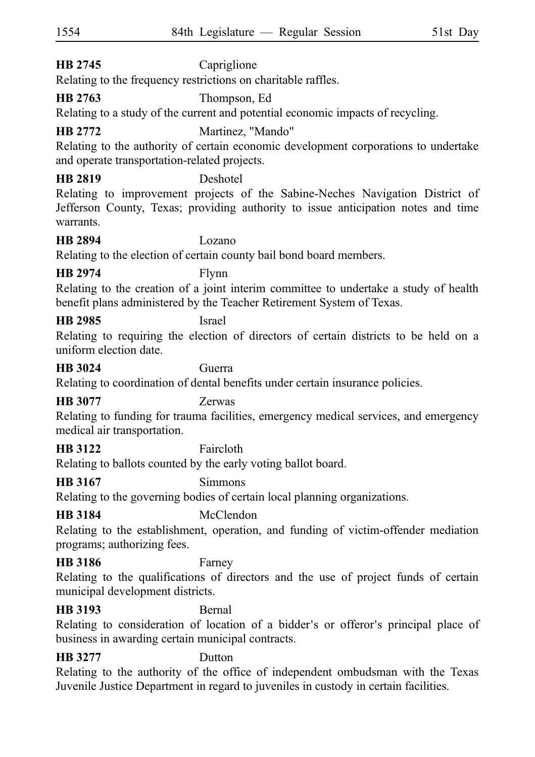# **HB 2745** Capriglione

Relating to the frequency restrictions on charitable raffles.

# **HB 2763** Thompson, Ed

Relating to a study of the current and potential economic impacts of recycling.

# **HB 2772** Martinez, "Mando"

Relating to the authority of certain economic development corporations to undertake and operate transportation-related projects.

# **HB 2819** Deshotel

Relating to improvement projects of the Sabine-Neches Navigation District of Jefferson County, Texas; providing authority to issue anticipation notes and time warrants.

#### **HB 2894** Lozano

Relating to the election of certain county bail bond board members.

# **HB 2974** Flynn

Relating to the creation of a joint interim committee to undertake a study of health benefit plans administered by the Teacher Retirement System of Texas.

### **HB 2985** Israel

Relating to requiring the election of directors of certain districts to be held on a uniform election date.

#### **HB 3024** Guerra

Relating to coordination of dental benefits under certain insurance policies.

## **HB 3077** Zerwas

Relating to funding for trauma facilities, emergency medical services, and emergency medical air transportation.

# **HB 3122** Faircloth

Relating to ballots counted by the early voting ballot board.

# **HB 3167** Simmons

Relating to the governing bodies of certain local planning organizations.

# **HB 3184** McClendon

Relating to the establishment, operation, and funding of victim-offender mediation programs; authorizing fees.

# **HB 3186** Farney

Relating to the qualifications of directors and the use of project funds of certain municipal development districts.

# **HB 3193** Bernal

Relating to consideration of location of a bidder's or offeror's principal place of business in awarding certain municipal contracts.

# **HB 3277** Dutton

Relating to the authority of the office of independent ombudsman with the Texas Juvenile Justice Department in regard to juveniles in custody in certain facilities.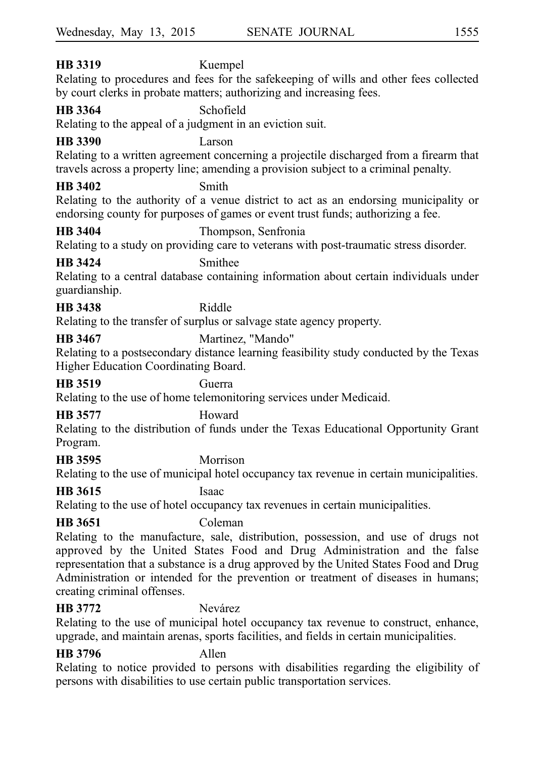# **HB 3319** Kuempel Relating to procedures and fees for the safekeeping of wills and other fees collected by court clerks in probate matters; authorizing and increasing fees. **HB 3364** Schofield Relating to the appeal of a judgment in an eviction suit. **HB 3390** Larson Relating to a written agreement concerning a projectile discharged from a firearm that travels across a property line; amending a provision subject to a criminal penalty. **HB 3402** Smith Relating to the authority of a venue district to act as an endorsing municipality or endorsing county for purposes of games or event trust funds; authorizing a fee. **HB 3404** Thompson, Senfronia Relating to a study on providing care to veterans with post-traumatic stress disorder. **HB 3424** Smithee Relating to a central database containing information about certain individuals under guardianship. **HB 3438** Riddle Relating to the transfer of surplus or salvage state agency property. **HB 3467** Martinez, "Mando" Relating to a postsecondary distance learning feasibility study conducted by the Texas Higher Education Coordinating Board. **HB 3519** Guerra Relating to the use of home telemonitoring services under Medicaid. **HB 3577** Howard Wednesday, May 13, 2015 SENATE JOURNAL 1555

Relating to the distribution of funds under the Texas Educational Opportunity Grant Program.

# **HB 3595** Morrison

Relating to the use of municipal hotel occupancy tax revenue in certain municipalities.

**HB 3615** Isaac

Relating to the use of hotel occupancy tax revenues in certain municipalities.

# **HB 3651** Coleman

Relating to the manufacture, sale, distribution, possession, and use of drugs not approved by the United States Food and Drug Administration and the false representation that a substance is a drug approved by the United States Food and Drug Administration or intended for the prevention or treatment of diseases in humans; creating criminal offenses.

# **HB 3772** Nevárez

Relating to the use of municipal hotel occupancy tax revenue to construct, enhance, upgrade, and maintain arenas, sports facilities, and fields in certain municipalities.

# **HB 3796** Allen

Relating to notice provided to persons with disabilities regarding the eligibility of persons with disabilities to use certain public transportation services.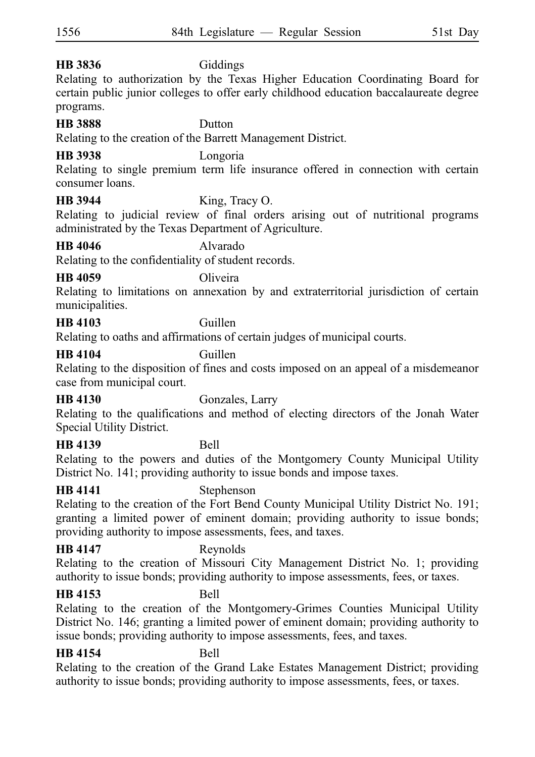# **HB 3836** Giddings

Relating to authorization by the Texas Higher Education Coordinating Board for certain public junior colleges to offer early childhood education baccalaureate degree programs.

# **HB 3888** Dutton

Relating to the creation of the Barrett Management District.

# **HB 3938** Longoria

Relating to single premium term life insurance offered in connection with certain consumer loans.

**HB 3944** King, Tracy O.

Relating to judicial review of final orders arising out of nutritional programs administrated by the Texas Department of Agriculture.

# **HB 4046** Alvarado

Relating to the confidentiality of student records.

# **HB 4059** Oliveira

Relating to limitations on annexation by and extraterritorial jurisdiction of certain municipalities.

# **HB 4103** Guillen

Relating to oaths and affirmations of certain judges of municipal courts.

# **HB 4104** Guillen

Relating to the disposition of fines and costs imposed on an appeal of a misdemeanor case from municipal court.

# **HB 4130** Gonzales, Larry

Relating to the qualifications and method of electing directors of the Jonah Water Special Utility District.

# **HB 4139** Bell

Relating to the powers and duties of the Montgomery County Municipal Utility District No. 141; providing authority to issue bonds and impose taxes.

# **HB 4141** Stephenson

Relating to the creation of the Fort Bend County Municipal Utility District No. 191; granting a limited power of eminent domain; providing authority to issue bonds; providing authority to impose assessments, fees, and taxes.

# **HB 4147** Reynolds

Relating to the creation of Missouri City Management District No. 1; providing authority to issue bonds; providing authority to impose assessments, fees, or taxes.

## **HB 4153** Bell

Relating to the creation of the Montgomery-Grimes Counties Municipal Utility District No. 146; granting a limited power of eminent domain; providing authority to issue bonds; providing authority to impose assessments, fees, and taxes.

# **HB 4154** Bell

Relating to the creation of the Grand Lake Estates Management District; providing authority to issue bonds; providing authority to impose assessments, fees, or taxes.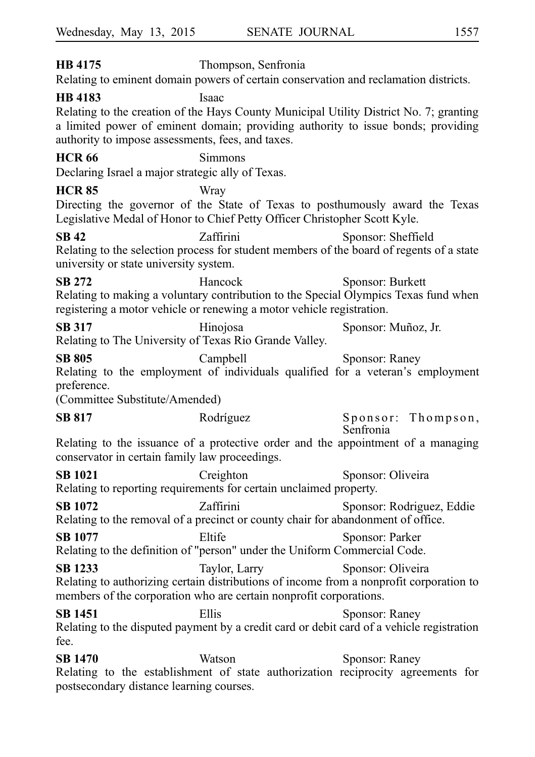**HB 4175** Thompson, Senfronia Relating to eminent domain powers of certain conservation and reclamation districts. **HB 4183** Isaac Relating to the creation of the Hays County Municipal Utility District No. 7; granting a limited power of eminent domain; providing authority to issue bonds; providing authority to impose assessments, fees, and taxes. **HCR 66** Simmons Declaring Israel a major strategic ally of Texas. **HCR 85** Wray Directing the governor of the State of Texas to posthumously award the Texas Legislative Medal of Honor to Chief Petty Officer Christopher Scott Kyle. **SB 42** Zaffirini Sponsor: Sheffield Relating to the selection process for student members of the board of regents of a state university or state university system. **SB 272** Hancock Sponsor: Burkett Relating to making a voluntary contribution to the Special Olympics Texas fund when registering a motor vehicle or renewing a motor vehicle registration. **SB 317** Hinojosa Sponsor: Muñoz, Jr. Relating to The University of Texas Rio Grande Valley. SB 805 Campbell Sponsor: Raney Relating to the employment of individuals qualified for a veteran's employment preference. (Committee Substitute/Amended) SB 817 Rodríguez Sponsor: Thompson, Senfronia Relating to the issuance of a protective order and the appointment of a managing conservator in certain family law proceedings. **SB 1021** Creighton Sponsor: Oliveira Relating to reporting requirements for certain unclaimed property. **SB 1072 Zaffirmi Zaffirmi** Sponsor: Rodriguez, Eddie Relating to the removal of a precinct or county chair for abandonment of office. **SB 1077** Eltife Sponsor: Parker Relating to the definition of "person" under the Uniform Commercial Code. **SB 1233** Taylor, Larry Sponsor: Oliveira Relating to authorizing certain distributions of income from a nonprofit corporation to members of the corporation who are certain nonprofit corporations. **SB 1451** Ellis Sponsor: Raney Relating to the disputed payment by a credit card or debit card of a vehicle registration fee. **SB 1470** Watson Sponsor: Raney Relating to the establishment of state authorization reciprocity agreements for postsecondary distance learning courses.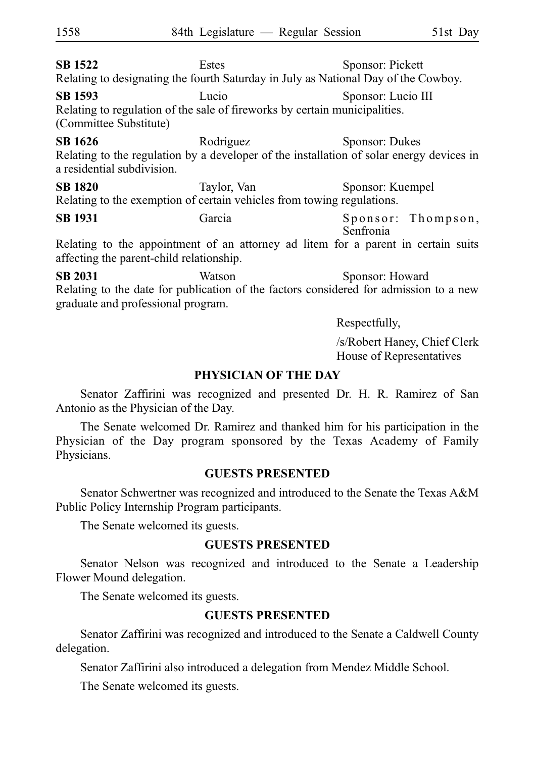**SB 1522** Estes Sponsor: Pickett Relating to designating the fourth Saturday in July as National Day of the Cowboy. **SB 1593** Lucio Sponsor: Lucio III Relating to regulation of the sale of fireworks by certain municipalities. (Committee Substitute) **SB 1626** Rodríguez Sponsor: Dukes Relating to the regulation by a developer of the installation of solar energy devices in a residential subdivision. **SB 1820** Taylor, Van Sponsor: Kuempel Relating to the exemption of certain vehicles from towing regulations. SB 1931 Garcia Sponsor: Thompson, Senfronia Relating to the appointment of an attorney ad litem for a parent in certain suits affecting the parent-child relationship. **SB 2031** Watson Sponsor: Howard Relating to the date for publication of the factors considered for admission to a new graduate and professional program. Respectfully,

> /s/Robert Haney, Chief Clerk House of Representatives

#### **PHYSICIAN OF THE DAY**

Senator Zaffirini was recognized and presented Dr. H. R. Ramirez of San Antonio as the Physician of the Day.

The Senate welcomed Dr. Ramirez and thanked him for his participation in the Physician of the Day program sponsored by the Texas Academy of Family Physicians.

#### **GUESTS PRESENTED**

Senator Schwertner was recognized and introduced to the Senate the Texas A&M Public Policy Internship Program participants.

The Senate welcomed its guests.

#### **GUESTS PRESENTED**

Senator Nelson was recognized and introduced to the Senate a Leadership Flower Mound delegation.

The Senate welcomed its guests.

#### **GUESTS PRESENTED**

Senator Zaffirini was recognized and introduced to the Senate a Caldwell County delegation.

Senator Zaffirini also introduced a delegation from Mendez Middle School.

The Senate welcomed its guests.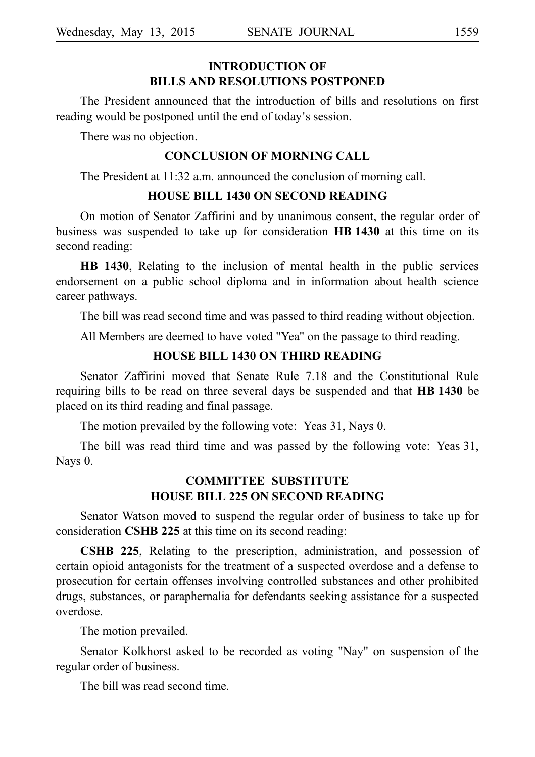### **INTRODUCTION OF BILLS AND RESOLUTIONS POSTPONED**

The President announced that the introduction of bills and resolutions on first reading would be postponed until the end of today's session.

There was no objection.

#### **CONCLUSION OF MORNING CALL**

The President at 11:32 a.m. announced the conclusion of morning call.

#### **HOUSE BILL 1430 ON SECOND READING**

On motion of Senator Zaffirini and by unanimous consent, the regular order of business was suspended to take up for consideration HB 1430 at this time on its second reading:

**HB 1430**, Relating to the inclusion of mental health in the public services endorsement on a public school diploma and in information about health science career pathways.

The bill was read second time and was passed to third reading without objection.

All Members are deemed to have voted "Yea" on the passage to third reading.

#### **HOUSE BILL 1430 ON THIRD READING**

Senator Zaffirini moved that Senate Rule 7.18 and the Constitutional Rule requiring bills to be read on three several days be suspended and that **HBi1430** be placed on its third reading and final passage.

The motion prevailed by the following vote: Yeas 31, Nays 0.

The bill was read third time and was passed by the following vote: Yeas 31, Nays 0.

#### **COMMITTEE SUBSTITUTE HOUSE BILL 225 ON SECOND READING**

Senator Watson moved to suspend the regular order of business to take up for consideration **CSHB 225** at this time on its second reading:

**CSHB 225**, Relating to the prescription, administration, and possession of certain opioid antagonists for the treatment of a suspected overdose and a defense to prosecution for certain offenses involving controlled substances and other prohibited drugs, substances, or paraphernalia for defendants seeking assistance for a suspected overdose.

The motion prevailed.

Senator Kolkhorst asked to be recorded as voting "Nay" on suspension of the regular order of business.

The bill was read second time.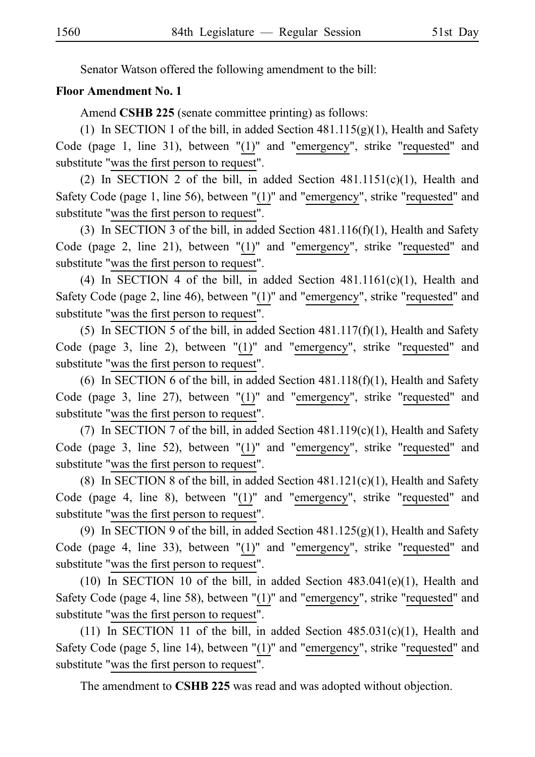Senator Watson offered the following amendment to the bill:

#### **Floor Amendment No. 1**

Amend **CSHB 225** (senate committee printing) as follows:

(1) In SECTION 1 of the bill, in added Section  $481.115(g)(1)$ , Health and Safety Code (page 1, line 31), between "(1)" and "emergency", strike "requested" and substitute "was the first person to request".

(2) In SECTION 2 of the bill, in added Section  $481.1151(c)(1)$ , Health and Safety Code (page 1, line 56), between "(1)" and "emergency", strike "requested" and substitute "was the first person to request".

(3) In SECTION 3 of the bill, in added Section  $481.116(f)(1)$ , Health and Safety Code (page 2, line 21), between "(1)" and "emergency", strike "requested" and substitute "was the first person to request".

(4) In SECTION 4 of the bill, in added Section  $481.1161(c)(1)$ , Health and Safety Code (page 2, line 46), between "(1)" and "emergency", strike "requested" and substitute "was the first person to request".

(5) In SECTION 5 of the bill, in added Section  $481.117(f)(1)$ , Health and Safety Code (page 3, line 2), between  $!(1)$ " and "emergency", strike "requested" and substitute "was the first person to request".

(6) In SECTION 6 of the bill, in added Section  $481.118(f)(1)$ , Health and Safety Code (page 3, line 27), between "(1)" and "emergency", strike "requested" and substitute "was the first person to request".

(7) In SECTION 7 of the bill, in added Section  $481.119(c)(1)$ , Health and Safety Code (page 3, line 52), between "(1)" and "emergency", strike "requested" and substitute "was the first person to request".

(8) In SECTION 8 of the bill, in added Section  $481.121(c)(1)$ , Health and Safety Code (page 4, line 8), between "(1)" and "emergency", strike "requested" and substitute "was the first person to request".

(9) In SECTION 9 of the bill, in added Section  $481.125(g)(1)$ , Health and Safety Code (page 4, line 33), between "(1)" and "emergency", strike "requested" and substitute "was the first person to request".

(10) In SECTION 10 of the bill, in added Section  $483.041(e)(1)$ , Health and Safety Code (page 4, line 58), between "(1)" and "emergency", strike "requested" and substitute "was the first person to request".

(11) In SECTION 11 of the bill, in added Section  $485.031(c)(1)$ , Health and Safety Code (page 5, line 14), between " $(1)$ " and "emergency", strike "requested" and substitute "was the first person to request".

The amendment to **CSHB 225** was read and was adopted without objection.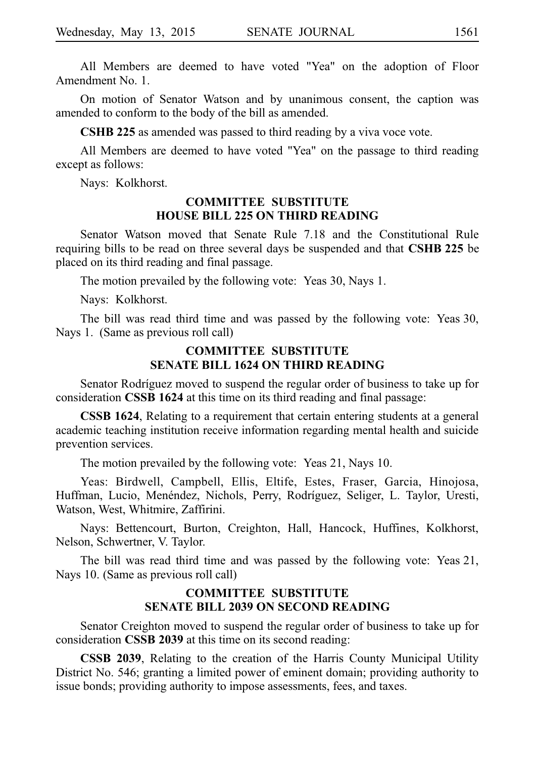All Members are deemed to have voted "Yea" on the adoption of Floor Amendment No. 1.

On motion of Senator Watson and by unanimous consent, the caption was amended to conform to the body of the bill as amended.

**CSHB 225** as amended was passed to third reading by a viva voce vote.

All Members are deemed to have voted "Yea" on the passage to third reading except as follows:

Nays: Kolkhorst.

#### **COMMITTEE SUBSTITUTE HOUSE BILL 225 ON THIRD READING**

Senator Watson moved that Senate Rule 7.18 and the Constitutional Rule requiring bills to be read on three several days be suspended and that CSHB 225 be placed on its third reading and final passage.

The motion prevailed by the following vote: Yeas 30, Nays 1.

Nays: Kolkhorst.

The bill was read third time and was passed by the following vote: Yeas 30, Nays 1. (Same as previous roll call)

#### **COMMITTEE SUBSTITUTE SENATE BILL 1624 ON THIRD READING**

Senator Rodríguez moved to suspend the regular order of business to take up for consideration **CSSB 1624** at this time on its third reading and final passage:

**CSSB 1624**, Relating to a requirement that certain entering students at a general academic teaching institution receive information regarding mental health and suicide prevention services.

The motion prevailed by the following vote: Yeas 21, Nays 10.

Yeas: Birdwell, Campbell, Ellis, Eltife, Estes, Fraser, Garcia, Hinojosa, Huffman, Lucio, Menéndez, Nichols, Perry, Rodríguez, Seliger, L. Taylor, Uresti, Watson, West, Whitmire, Zaffirini.

Nays: Bettencourt, Burton, Creighton, Hall, Hancock, Huffines, Kolkhorst, Nelson, Schwertner, V. Taylor.

The bill was read third time and was passed by the following vote: Yeas 21, Nays 10. (Same as previous roll call)

#### **COMMITTEE SUBSTITUTE SENATE BILL 2039 ON SECOND READING**

Senator Creighton moved to suspend the regular order of business to take up for consideration **CSSB 2039** at this time on its second reading:

**CSSB 2039**, Relating to the creation of the Harris County Municipal Utility District No. 546; granting a limited power of eminent domain; providing authority to issue bonds; providing authority to impose assessments, fees, and taxes.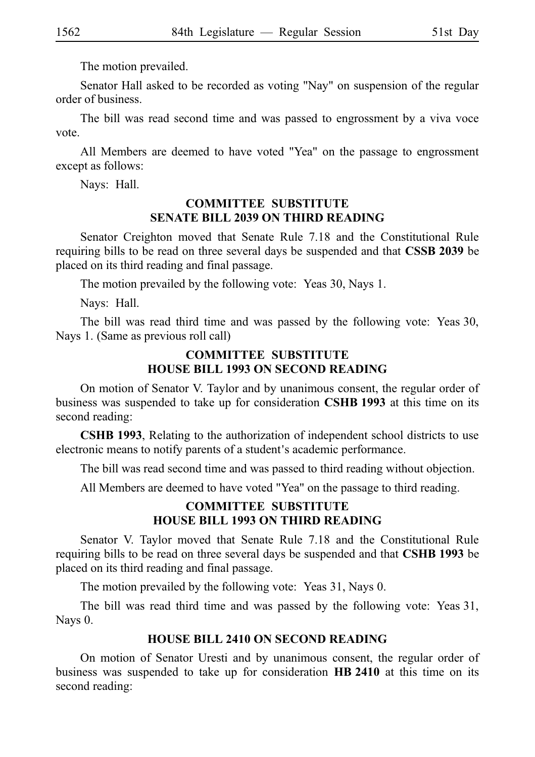The motion prevailed.

Senator Hall asked to be recorded as voting "Nay" on suspension of the regular order of business.

The bill was read second time and was passed to engrossment by a viva voce vote.

All Members are deemed to have voted "Yea" on the passage to engrossment except as follows:

Nays: Hall.

#### **COMMITTEE SUBSTITUTE SENATE BILL 2039 ON THIRD READING**

Senator Creighton moved that Senate Rule 7.18 and the Constitutional Rule requiring bills to be read on three several days be suspended and that **CSSB 2039** be placed on its third reading and final passage.

The motion prevailed by the following vote: Yeas 30, Nays 1.

Nays: Hall.

The bill was read third time and was passed by the following vote: Yeas 30, Nays 1. (Same as previous roll call)

#### **COMMITTEE SUBSTITUTE HOUSE BILL 1993 ON SECOND READING**

On motion of Senator V. Taylor and by unanimous consent, the regular order of business was suspended to take up for consideration **CSHBi1993** at this time on its second reading:

**CSHB 1993**, Relating to the authorization of independent school districts to use electronic means to notify parents of a student's academic performance.

The bill was read second time and was passed to third reading without objection.

All Members are deemed to have voted "Yea" on the passage to third reading.

# **COMMITTEE SUBSTITUTE HOUSE BILL 1993 ON THIRD READING**

Senator V. Taylor moved that Senate Rule 7.18 and the Constitutional Rule requiring bills to be read on three several days be suspended and that **CSHBi1993** be placed on its third reading and final passage.

The motion prevailed by the following vote: Yeas 31, Nays 0.

The bill was read third time and was passed by the following vote: Yeas 31, Nays 0.

## **HOUSE BILL 2410 ON SECOND READING**

On motion of Senator Uresti and by unanimous consent, the regular order of business was suspended to take up for consideration HB 2410 at this time on its second reading: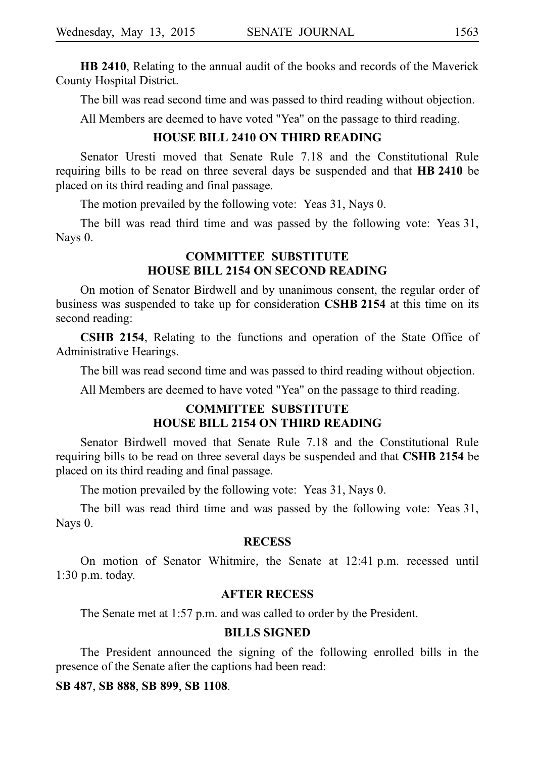**HB 2410**, Relating to the annual audit of the books and records of the Maverick County Hospital District.

The bill was read second time and was passed to third reading without objection.

All Members are deemed to have voted "Yea" on the passage to third reading.

#### **HOUSE BILL 2410 ON THIRD READING**

Senator Uresti moved that Senate Rule 7.18 and the Constitutional Rule requiring bills to be read on three several days be suspended and that HB 2410 be placed on its third reading and final passage.

The motion prevailed by the following vote: Yeas 31, Nays 0.

The bill was read third time and was passed by the following vote: Yeas 31, Nays<sub>0</sub>.

#### **COMMITTEE SUBSTITUTE HOUSE BILL 2154 ON SECOND READING**

On motion of Senator Birdwell and by unanimous consent, the regular order of business was suspended to take up for consideration **CSHB 2154** at this time on its second reading:

**CSHB 2154**, Relating to the functions and operation of the State Office of Administrative Hearings.

The bill was read second time and was passed to third reading without objection.

All Members are deemed to have voted "Yea" on the passage to third reading.

### **COMMITTEE SUBSTITUTE HOUSE BILL 2154 ON THIRD READING**

Senator Birdwell moved that Senate Rule 7.18 and the Constitutional Rule requiring bills to be read on three several days be suspended and that **CSHB 2154** be placed on its third reading and final passage.

The motion prevailed by the following vote: Yeas 31, Nays 0.

The bill was read third time and was passed by the following vote: Yeas 31, Nays 0.

#### **RECESS**

On motion of Senator Whitmire, the Senate at 12:41 p.m. recessed until  $1:30$  p.m. today.

#### **AFTER RECESS**

The Senate met at 1:57 p.m. and was called to order by the President.

### **BILLS SIGNED**

The President announced the signing of the following enrolled bills in the presence of the Senate after the captions had been read:

#### **SB**i**487**, **SB**i**888**, **SB**i**899**, **SB**i**1108**.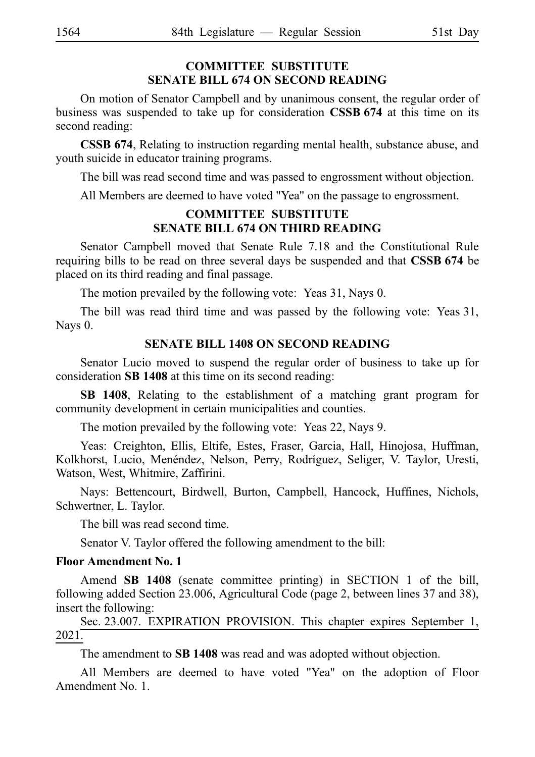# **COMMITTEE SUBSTITUTE SENATE BILL 674 ON SECOND READING**

On motion of Senator Campbell and by unanimous consent, the regular order of business was suspended to take up for consideration CSSB 674 at this time on its second reading:

**CSSB 674**, Relating to instruction regarding mental health, substance abuse, and youth suicide in educator training programs.

The bill was read second time and was passed to engrossment without objection.

All Members are deemed to have voted "Yea" on the passage to engrossment.

#### **COMMITTEE SUBSTITUTE SENATE BILL 674 ON THIRD READING**

Senator Campbell moved that Senate Rule 7.18 and the Constitutional Rule requiring bills to be read on three several days be suspended and that **CSSB 674** be placed on its third reading and final passage.

The motion prevailed by the following vote: Yeas 31, Nays 0.

The bill was read third time and was passed by the following vote: Yeas 31, Nays 0.

#### **SENATE BILL 1408 ON SECOND READING**

Senator Lucio moved to suspend the regular order of business to take up for consideration SB 1408 at this time on its second reading:

**SB 1408**, Relating to the establishment of a matching grant program for community development in certain municipalities and counties.

The motion prevailed by the following vote: Yeas 22, Nays 9.

Yeas: Creighton, Ellis, Eltife, Estes, Fraser, Garcia, Hall, Hinojosa, Huffman, Kolkhorst, Lucio, Menéndez, Nelson, Perry, Rodríguez, Seliger, V. Taylor, Uresti, Watson, West, Whitmire, Zaffirini.

Nays: Bettencourt, Birdwell, Burton, Campbell, Hancock, Huffines, Nichols, Schwertner, L. Taylor.

The bill was read second time.

Senator V. Taylor offered the following amendment to the bill:

#### **Floor Amendment No. 1**

Amend **SB 1408** (senate committee printing) in SECTION 1 of the bill, following added Section 23.006, Agricultural Code (page 2, between lines 37 and 38), insert the following:

Sec. 23.007. EXPIRATION PROVISION. This chapter expires September 1, 2021.

The amendment to **SB 1408** was read and was adopted without objection.

All Members are deemed to have voted "Yea" on the adoption of Floor Amendment No. 1.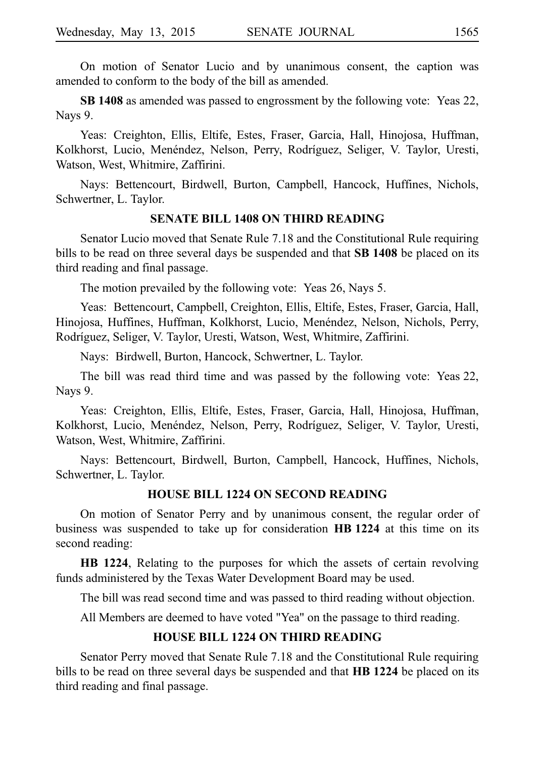On motion of Senator Lucio and by unanimous consent, the caption was amended to conform to the body of the bill as amended.

**SB 1408** as amended was passed to engrossment by the following vote: Yeas 22, Nays 9.

Yeas: Creighton, Ellis, Eltife, Estes, Fraser, Garcia, Hall, Hinojosa, Huffman, Kolkhorst, Lucio, Menéndez, Nelson, Perry, Rodríguez, Seliger, V. Taylor, Uresti, Watson, West, Whitmire, Zaffirini.

Nays: Bettencourt, Birdwell, Burton, Campbell, Hancock, Huffines, Nichols, Schwertner, L. Taylor.

#### **SENATE BILL 1408 ON THIRD READING**

Senator Lucio moved that Senate Rule 7.18 and the Constitutional Rule requiring bills to be read on three several days be suspended and that **SB 1408** be placed on its third reading and final passage.

The motion prevailed by the following vote: Yeas 26, Nays 5.

Yeas: Bettencourt, Campbell, Creighton, Ellis, Eltife, Estes, Fraser, Garcia, Hall, Hinojosa, Huffines, Huffman, Kolkhorst, Lucio, Menéndez, Nelson, Nichols, Perry, Rodríguez, Seliger, V. Taylor, Uresti, Watson, West, Whitmire, Zaffirini.

Nays: Birdwell, Burton, Hancock, Schwertner, L. Taylor.

The bill was read third time and was passed by the following vote: Yeas 22, Nays 9.

Yeas: Creighton, Ellis, Eltife, Estes, Fraser, Garcia, Hall, Hinojosa, Huffman, Kolkhorst, Lucio, Menéndez, Nelson, Perry, Rodríguez, Seliger, V. Taylor, Uresti, Watson, West, Whitmire, Zaffirini.

Nays: Bettencourt, Birdwell, Burton, Campbell, Hancock, Huffines, Nichols, Schwertner, L. Taylor.

#### **HOUSE BILL 1224 ON SECOND READING**

On motion of Senator Perry and by unanimous consent, the regular order of business was suspended to take up for consideration **HBi1224** at this time on its second reading:

**HB 1224**, Relating to the purposes for which the assets of certain revolving funds administered by the Texas Water Development Board may be used.

The bill was read second time and was passed to third reading without objection.

All Members are deemed to have voted "Yea" on the passage to third reading.

#### **HOUSE BILL 1224 ON THIRD READING**

Senator Perry moved that Senate Rule 7.18 and the Constitutional Rule requiring bills to be read on three several days be suspended and that HB 1224 be placed on its third reading and final passage.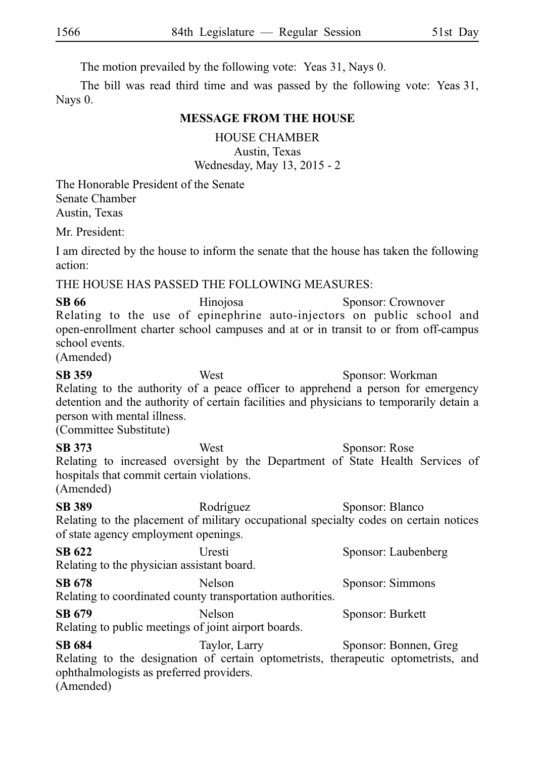The motion prevailed by the following vote: Yeas 31, Nays 0.

The bill was read third time and was passed by the following vote: Yeas 31, Nays 0.

#### **MESSAGE FROM THE HOUSE**

HOUSE CHAMBER

Austin, Texas Wednesday, May 13, 2015 - 2

The Honorable President of the Senate Senate Chamber Austin, Texas

Mr. President:

I am directed by the house to inform the senate that the house has taken the following action:

THE HOUSE HAS PASSED THE FOLLOWING MEASURES:

**SB 66** Hinojosa Sponsor: Crownover Relating to the use of epinephrine auto-injectors on public school and open-enrollment charter school campuses and at or in transit to or from off-campus school events.

(Amended)

**SB 359** West Sponsor: Workman Relating to the authority of a peace officer to apprehend a person for emergency detention and the authority of certain facilities and physicians to temporarily detain a person with mental illness.

(Committee Substitute)

**SB 373** West Sponsor: Rose Relating to increased oversight by the Department of State Health Services of hospitals that commit certain violations. (Amended)

**SB 389** Rodríguez Sponsor: Blanco Relating to the placement of military occupational specialty codes on certain notices of state agency employment openings.

**SB 622** Uresti Sponsor: Laubenberg Relating to the physician assistant board. **SB 678** Nelson Sponsor: Simmons

Relating to coordinated county transportation authorities. **SB 679** Nelson Sponsor: Burkett

Relating to public meetings of joint airport boards.

**SB 684** Taylor, Larry Sponsor: Bonnen, Greg Relating to the designation of certain optometrists, therapeutic optometrists, and ophthalmologists as preferred providers. (Amended)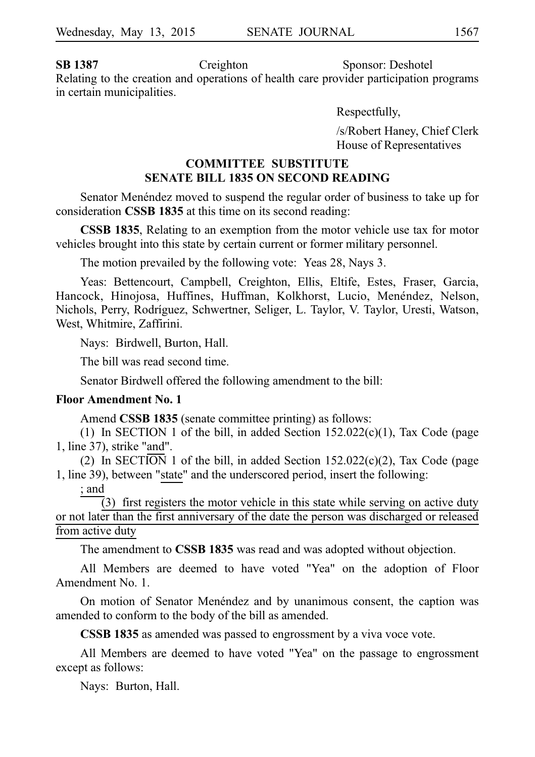**SB 1387** Creighton Sponsor: Deshotel Relating to the creation and operations of health care provider participation programs in certain municipalities.

Respectfully,

/s/Robert Haney, Chief Clerk House of Representatives

### **COMMITTEE SUBSTITUTE SENATE BILL 1835 ON SECOND READING**

Senator Mene´ndez moved to suspend the regular order of business to take up for consideration **CSSB 1835** at this time on its second reading:

**CSSB 1835**, Relating to an exemption from the motor vehicle use tax for motor vehicles brought into this state by certain current or former military personnel.

The motion prevailed by the following vote: Yeas 28, Nays 3.

Yeas: Bettencourt, Campbell, Creighton, Ellis, Eltife, Estes, Fraser, Garcia, Hancock, Hinojosa, Huffines, Huffman, Kolkhorst, Lucio, Menéndez, Nelson, Nichols, Perry, Rodríguez, Schwertner, Seliger, L. Taylor, V. Taylor, Uresti, Watson, West, Whitmire, Zaffirini.

Nays: Birdwell, Burton, Hall.

The bill was read second time.

Senator Birdwell offered the following amendment to the bill:

#### **Floor Amendment No. 1**

Amend **CSSB 1835** (senate committee printing) as follows:

(1) In SECTION 1 of the bill, in added Section  $152.022(c)(1)$ , Tax Code (page 1, line 37), strike "and".

(2) In SECTION 1 of the bill, in added Section 152.022(c)(2), Tax Code (page 1, line 39), between "state" and the underscored period, insert the following:

#### ; and

 $(3)$  first registers the motor vehicle in this state while serving on active duty or not later than the first anniversary of the date the person was discharged or released from active duty

The amendment to **CSSB 1835** was read and was adopted without objection.

All Members are deemed to have voted "Yea" on the adoption of Floor Amendment No. 1.

On motion of Senator Menéndez and by unanimous consent, the caption was amended to conform to the body of the bill as amended.

**CSSB 1835** as amended was passed to engrossment by a viva voce vote.

All Members are deemed to have voted "Yea" on the passage to engrossment except as follows:

Nays: Burton, Hall.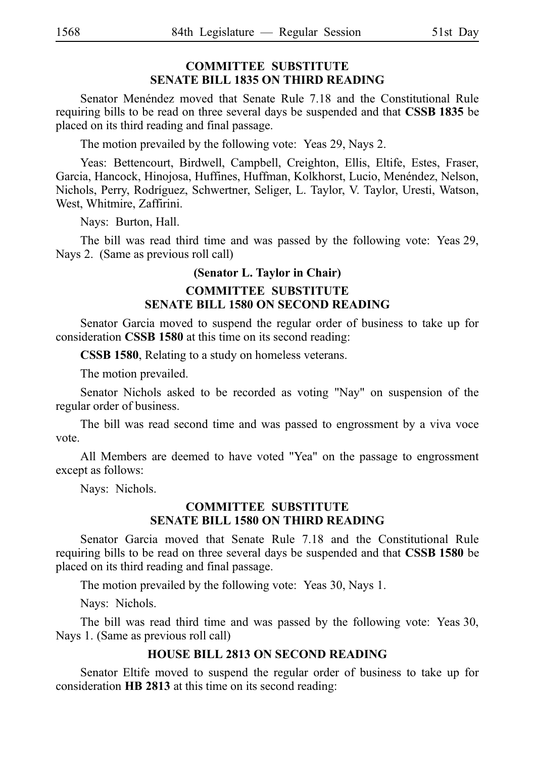### **COMMITTEE SUBSTITUTE SENATE BILL 1835 ON THIRD READING**

Senator Menéndez moved that Senate Rule 7.18 and the Constitutional Rule requiring bills to be read on three several days be suspended and that **CSSBi1835** be placed on its third reading and final passage.

The motion prevailed by the following vote: Yeas 29, Nays 2.

Yeas: Bettencourt, Birdwell, Campbell, Creighton, Ellis, Eltife, Estes, Fraser, Garcia, Hancock, Hinojosa, Huffines, Huffman, Kolkhorst, Lucio, Menéndez, Nelson, Nichols, Perry, Rodríguez, Schwertner, Seliger, L. Taylor, V. Taylor, Uresti, Watson, West, Whitmire, Zaffirini.

Nays: Burton, Hall.

The bill was read third time and was passed by the following vote: Yeas 29, Nays 2. (Same as previous roll call)

#### **(Senator L. Taylor in Chair)**

#### **COMMITTEE SUBSTITUTE SENATE BILL 1580 ON SECOND READING**

Senator Garcia moved to suspend the regular order of business to take up for consideration **CSSB 1580** at this time on its second reading:

**CSSB 1580**, Relating to a study on homeless veterans.

The motion prevailed.

Senator Nichols asked to be recorded as voting "Nay" on suspension of the regular order of business.

The bill was read second time and was passed to engrossment by a viva voce vote.

All Members are deemed to have voted "Yea" on the passage to engrossment except as follows:

Nays: Nichols.

#### **COMMITTEE SUBSTITUTE SENATE BILL 1580 ON THIRD READING**

Senator Garcia moved that Senate Rule 7.18 and the Constitutional Rule requiring bills to be read on three several days be suspended and that **CSSBi1580** be placed on its third reading and final passage.

The motion prevailed by the following vote: Yeas 30, Nays 1.

Nays: Nichols.

The bill was read third time and was passed by the following vote: Yeas 30, Nays 1. (Same as previous roll call)

#### **HOUSE BILL 2813 ON SECOND READING**

Senator Eltife moved to suspend the regular order of business to take up for consideration **HB 2813** at this time on its second reading: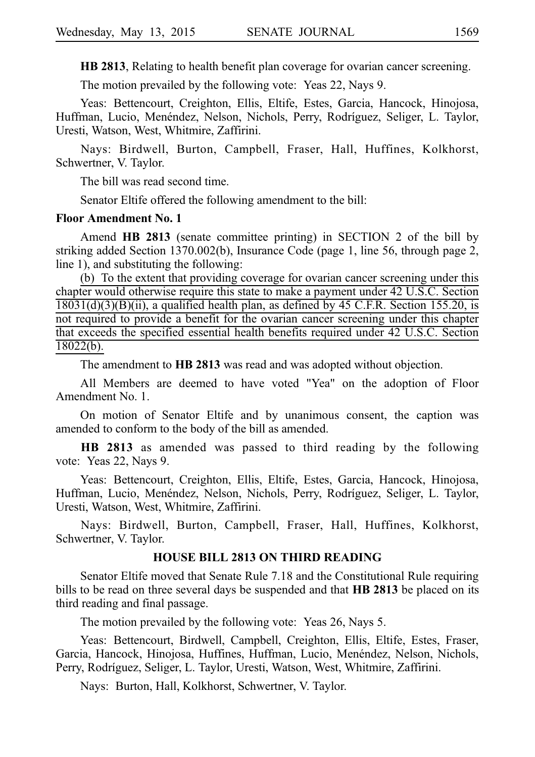**HB 2813**, Relating to health benefit plan coverage for ovarian cancer screening.

The motion prevailed by the following vote: Yeas 22, Nays 9.

Yeas: Bettencourt, Creighton, Ellis, Eltife, Estes, Garcia, Hancock, Hinojosa, Huffman, Lucio, Menéndez, Nelson, Nichols, Perry, Rodríguez, Seliger, L. Taylor, Uresti, Watson, West, Whitmire, Zaffirini.

Nays: Birdwell, Burton, Campbell, Fraser, Hall, Huffines, Kolkhorst, Schwertner, V. Taylor.

The bill was read second time.

Senator Eltife offered the following amendment to the bill:

#### **Floor Amendment No. 1**

Amend **HB 2813** (senate committee printing) in SECTION 2 of the bill by striking added Section 1370.002(b), Insurance Code (page 1, line 56, through page 2, line 1), and substituting the following:

(b) To the extent that providing coverage for ovarian cancer screening under this chapter would otherwise require this state to make a payment under 42 U.S.C. Section  $18031(d)(3)(B)(ii)$ , a qualified health plan, as defined by 45 C.F.R. Section 155.20, is not required to provide a benefit for the ovarian cancer screening under this chapter that exceeds the specified essential health benefits required under 42 U.S.C. Section  $18022(b)$ .

The amendment to **HB 2813** was read and was adopted without objection.

All Members are deemed to have voted "Yea" on the adoption of Floor Amendment No. 1.

On motion of Senator Eltife and by unanimous consent, the caption was amended to conform to the body of the bill as amended.

**HB 2813** as amended was passed to third reading by the following vote: Yeas 22, Nays 9.

Yeas: Bettencourt, Creighton, Ellis, Eltife, Estes, Garcia, Hancock, Hinojosa, Huffman, Lucio, Menéndez, Nelson, Nichols, Perry, Rodríguez, Seliger, L. Taylor, Uresti, Watson, West, Whitmire, Zaffirini.

Nays: Birdwell, Burton, Campbell, Fraser, Hall, Huffines, Kolkhorst, Schwertner, V. Taylor.

#### **HOUSE BILL 2813 ON THIRD READING**

Senator Eltife moved that Senate Rule 7.18 and the Constitutional Rule requiring bills to be read on three several days be suspended and that **HB 2813** be placed on its third reading and final passage.

The motion prevailed by the following vote: Yeas 26, Nays 5.

Yeas: Bettencourt, Birdwell, Campbell, Creighton, Ellis, Eltife, Estes, Fraser, Garcia, Hancock, Hinojosa, Huffines, Huffman, Lucio, Menéndez, Nelson, Nichols, Perry, Rodríguez, Seliger, L. Taylor, Uresti, Watson, West, Whitmire, Zaffirini.

Nays: Burton, Hall, Kolkhorst, Schwertner, V. Taylor.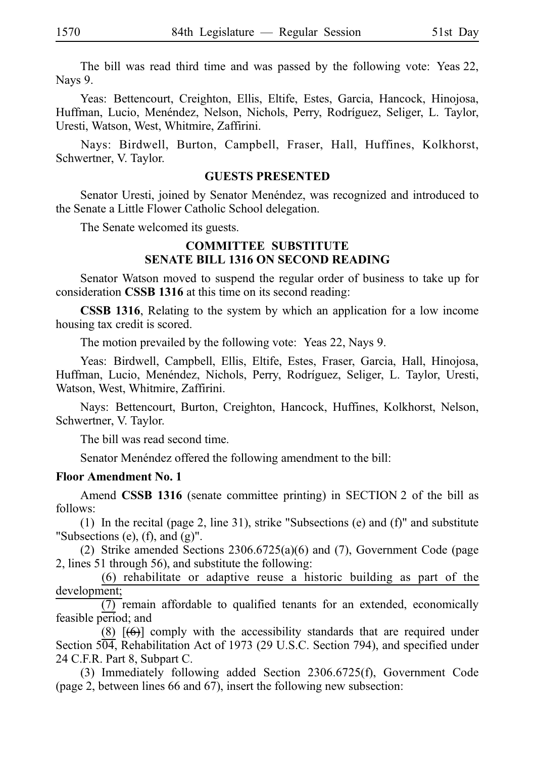The bill was read third time and was passed by the following vote: Yeas 22, Nays 9.

Yeas: Bettencourt, Creighton, Ellis, Eltife, Estes, Garcia, Hancock, Hinojosa, Huffman, Lucio, Menéndez, Nelson, Nichols, Perry, Rodríguez, Seliger, L. Taylor, Uresti, Watson, West, Whitmire, Zaffirini.

Nays: Birdwell, Burton, Campbell, Fraser, Hall, Huffines, Kolkhorst, Schwertner, V. Taylor.

#### **GUESTS PRESENTED**

Senator Uresti, joined by Senator Menéndez, was recognized and introduced to the Senate a Little Flower Catholic School delegation.

The Senate welcomed its guests.

#### **COMMITTEE SUBSTITUTE SENATE BILL 1316 ON SECOND READING**

Senator Watson moved to suspend the regular order of business to take up for consideration **CSSB 1316** at this time on its second reading:

**CSSB 1316**, Relating to the system by which an application for a low income housing tax credit is scored.

The motion prevailed by the following vote: Yeas 22, Nays 9.

Yeas: Birdwell, Campbell, Ellis, Eltife, Estes, Fraser, Garcia, Hall, Hinojosa, Huffman, Lucio, Menéndez, Nichols, Perry, Rodríguez, Seliger, L. Taylor, Uresti, Watson, West, Whitmire, Zaffirini.

Nays: Bettencourt, Burton, Creighton, Hancock, Huffines, Kolkhorst, Nelson, Schwertner, V. Taylor.

The bill was read second time.

Senator Menéndez offered the following amendment to the bill:

#### **Floor Amendment No. 1**

Amend **CSSB 1316** (senate committee printing) in SECTION 2 of the bill as follows:

(1) In the recital (page 2, line 31), strike "Subsections (e) and  $(f)$ " and substitute "Subsections  $(e)$ ,  $(f)$ , and  $(g)$ ".

(2) Strike amended Sections  $2306.6725(a)(6)$  and (7), Government Code (page 2, lines 51 through 56), and substitute the following:

 $(6)$  rehabilitate or adaptive reuse a historic building as part of the development;

 $\overline{(7)}$  remain affordable to qualified tenants for an extended, economically feasible period; and

(8)  $[(6)]$  comply with the accessibility standards that are required under Section 504, Rehabilitation Act of 1973 (29 U.S.C. Section 794), and specified under 24 C.F.R. Part 8, Subpart C.

(3) Immediately following added Section 2306.6725(f), Government Code (page 2, between lines 66 and 67), insert the following new subsection: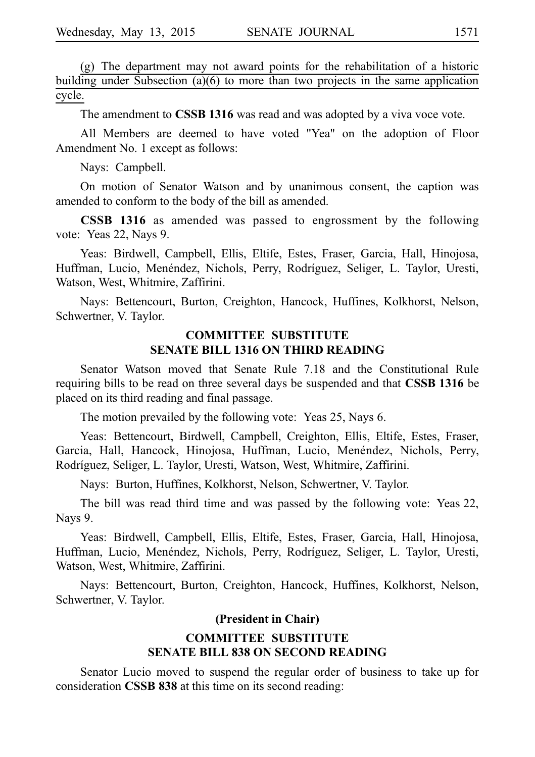$(g)$  The department may not award points for the rehabilitation of a historic building under Subsection (a)(6) to more than two projects in the same application cycle.

The amendment to **CSSB 1316** was read and was adopted by a viva voce vote.

All Members are deemed to have voted "Yea" on the adoption of Floor Amendment No. 1 except as follows:

Nays: Campbell.

On motion of Senator Watson and by unanimous consent, the caption was amended to conform to the body of the bill as amended.

**CSSB 1316** as amended was passed to engrossment by the following vote: Yeas 22, Nays 9.

Yeas: Birdwell, Campbell, Ellis, Eltife, Estes, Fraser, Garcia, Hall, Hinojosa, Huffman, Lucio, Menéndez, Nichols, Perry, Rodríguez, Seliger, L. Taylor, Uresti, Watson, West, Whitmire, Zaffirini.

Nays: Bettencourt, Burton, Creighton, Hancock, Huffines, Kolkhorst, Nelson, Schwertner, V. Taylor.

#### **COMMITTEE SUBSTITUTE SENATE BILL 1316 ON THIRD READING**

Senator Watson moved that Senate Rule 7.18 and the Constitutional Rule requiring bills to be read on three several days be suspended and that **CSSBi1316** be placed on its third reading and final passage.

The motion prevailed by the following vote: Yeas 25, Nays 6.

Yeas: Bettencourt, Birdwell, Campbell, Creighton, Ellis, Eltife, Estes, Fraser, Garcia, Hall, Hancock, Hinojosa, Huffman, Lucio, Menéndez, Nichols, Perry, Rodríguez, Seliger, L. Taylor, Uresti, Watson, West, Whitmire, Zaffirini.

Nays: Burton, Huffines, Kolkhorst, Nelson, Schwertner, V. Taylor.

The bill was read third time and was passed by the following vote: Yeas 22, Nays 9.

Yeas: Birdwell, Campbell, Ellis, Eltife, Estes, Fraser, Garcia, Hall, Hinojosa, Huffman, Lucio, Menéndez, Nichols, Perry, Rodríguez, Seliger, L. Taylor, Uresti, Watson, West, Whitmire, Zaffirini.

Nays: Bettencourt, Burton, Creighton, Hancock, Huffines, Kolkhorst, Nelson, Schwertner, V. Taylor.

#### **(President in Chair)**

#### **COMMITTEE SUBSTITUTE SENATE BILL 838 ON SECOND READING**

Senator Lucio moved to suspend the regular order of business to take up for consideration **CSSB 838** at this time on its second reading: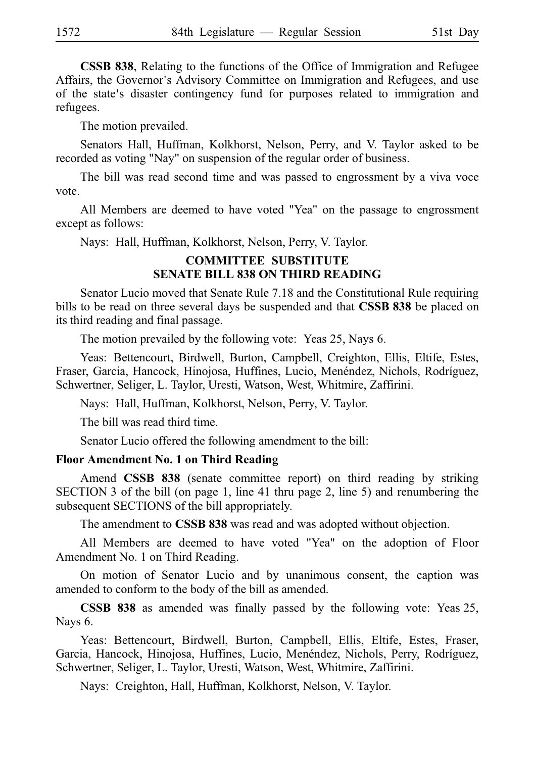**CSSB 838**, Relating to the functions of the Office of Immigration and Refugee Affairs, the Governor's Advisory Committee on Immigration and Refugees, and use of the state's disaster contingency fund for purposes related to immigration and refugees.

The motion prevailed.

Senators Hall, Huffman, Kolkhorst, Nelson, Perry, and V. Taylor asked to be recorded as voting "Nay" on suspension of the regular order of business.

The bill was read second time and was passed to engrossment by a viva voce vote.

All Members are deemed to have voted "Yea" on the passage to engrossment except as follows:

Nays: Hall, Huffman, Kolkhorst, Nelson, Perry, V. Taylor.

#### **COMMITTEE SUBSTITUTE SENATE BILL 838 ON THIRD READING**

Senator Lucio moved that Senate Rule 7.18 and the Constitutional Rule requiring bills to be read on three several days be suspended and that **CSSB 838** be placed on its third reading and final passage.

The motion prevailed by the following vote: Yeas 25, Nays 6.

Yeas: Bettencourt, Birdwell, Burton, Campbell, Creighton, Ellis, Eltife, Estes, Fraser, Garcia, Hancock, Hinojosa, Huffines, Lucio, Menéndez, Nichols, Rodríguez, Schwertner, Seliger, L. Taylor, Uresti, Watson, West, Whitmire, Zaffirini.

Nays: Hall, Huffman, Kolkhorst, Nelson, Perry, V. Taylor.

The bill was read third time.

Senator Lucio offered the following amendment to the bill:

#### **Floor Amendment No. 1 on Third Reading**

Amend **CSSB 838** (senate committee report) on third reading by striking SECTION 3 of the bill (on page 1, line 41 thru page 2, line 5) and renumbering the subsequent SECTIONS of the bill appropriately.

The amendment to **CSSB 838** was read and was adopted without objection.

All Members are deemed to have voted "Yea" on the adoption of Floor Amendment No. 1 on Third Reading.

On motion of Senator Lucio and by unanimous consent, the caption was amended to conform to the body of the bill as amended.

**CSSB 838** as amended was finally passed by the following vote: Yeas 25, Nays 6.

Yeas: Bettencourt, Birdwell, Burton, Campbell, Ellis, Eltife, Estes, Fraser, Garcia, Hancock, Hinojosa, Huffines, Lucio, Menéndez, Nichols, Perry, Rodríguez, Schwertner, Seliger, L. Taylor, Uresti, Watson, West, Whitmire, Zaffirini.

Nays: Creighton, Hall, Huffman, Kolkhorst, Nelson, V. Taylor.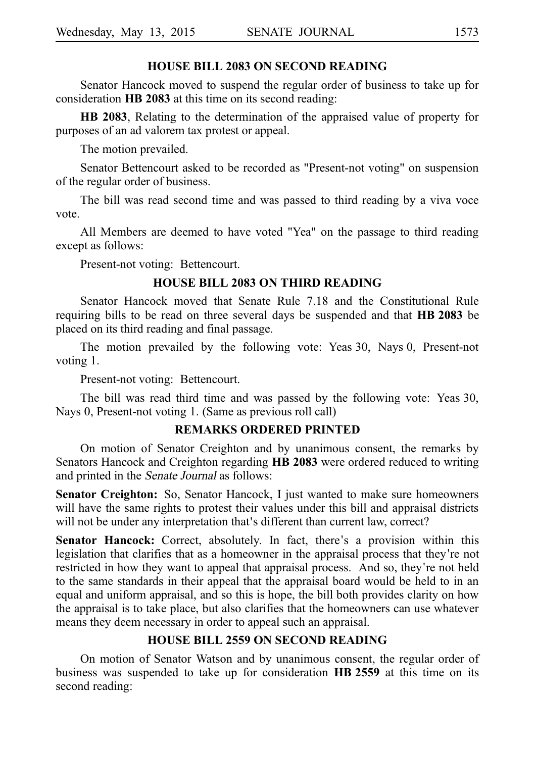#### **HOUSE BILL 2083 ON SECOND READING**

Senator Hancock moved to suspend the regular order of business to take up for consideration **HB 2083** at this time on its second reading:

**HB 2083**, Relating to the determination of the appraised value of property for purposes of an ad valorem tax protest or appeal.

The motion prevailed.

Senator Bettencourt asked to be recorded as "Present-not voting" on suspension of the regular order of business.

The bill was read second time and was passed to third reading by a viva voce vote.

All Members are deemed to have voted "Yea" on the passage to third reading except as follows:

Present-not voting: Bettencourt.

#### **HOUSE BILL 2083 ON THIRD READING**

Senator Hancock moved that Senate Rule 7.18 and the Constitutional Rule requiring bills to be read on three several days be suspended and that HB 2083 be placed on its third reading and final passage.

The motion prevailed by the following vote: Yeas 30, Nays 0, Present-not voting 1.

Present-not voting: Bettencourt.

The bill was read third time and was passed by the following vote: Yeas 30, Nays 0, Present-not voting 1. (Same as previous roll call)

#### **REMARKS ORDERED PRINTED**

On motion of Senator Creighton and by unanimous consent, the remarks by Senators Hancock and Creighton regarding **HB 2083** were ordered reduced to writing and printed in the Senate Journal as follows:

**Senator Creighton:** So, Senator Hancock, I just wanted to make sure homeowners will have the same rights to protest their values under this bill and appraisal districts will not be under any interpretation that's different than current law, correct?

**Senator Hancock:** Correct, absolutely. In fact, there's a provision within this legislation that clarifies that as a homeowner in the appraisal process that they're not restricted in how they want to appeal that appraisal process. And so, they're not held to the same standards in their appeal that the appraisal board would be held to in an equal and uniform appraisal, and so this is hope, the bill both provides clarity on how the appraisal is to take place, but also clarifies that the homeowners can use whatever means they deem necessary in order to appeal such an appraisal.

#### **HOUSE BILL 2559 ON SECOND READING**

On motion of Senator Watson and by unanimous consent, the regular order of business was suspended to take up for consideration **HBi2559** at this time on its second reading: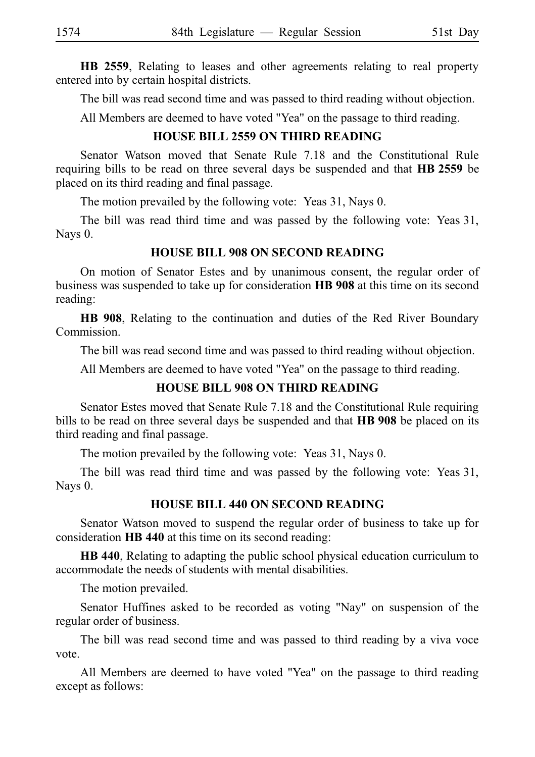**HB 2559**, Relating to leases and other agreements relating to real property entered into by certain hospital districts.

The bill was read second time and was passed to third reading without objection.

All Members are deemed to have voted "Yea" on the passage to third reading.

### **HOUSE BILL 2559 ON THIRD READING**

Senator Watson moved that Senate Rule 7.18 and the Constitutional Rule requiring bills to be read on three several days be suspended and that **HB 2559** be placed on its third reading and final passage.

The motion prevailed by the following vote: Yeas 31, Nays 0.

The bill was read third time and was passed by the following vote: Yeas 31, Nays 0.

#### **HOUSE BILL 908 ON SECOND READING**

On motion of Senator Estes and by unanimous consent, the regular order of business was suspended to take up for consideration HB 908 at this time on its second reading:

**HB 908**, Relating to the continuation and duties of the Red River Boundary Commission.

The bill was read second time and was passed to third reading without objection.

All Members are deemed to have voted "Yea" on the passage to third reading.

#### **HOUSE BILL 908 ON THIRD READING**

Senator Estes moved that Senate Rule 7.18 and the Constitutional Rule requiring bills to be read on three several days be suspended and that **HB 908** be placed on its third reading and final passage.

The motion prevailed by the following vote: Yeas 31, Nays 0.

The bill was read third time and was passed by the following vote: Yeas 31, Nays 0.

### **HOUSE BILL 440 ON SECOND READING**

Senator Watson moved to suspend the regular order of business to take up for consideration **HB 440** at this time on its second reading:

**HB 440**, Relating to adapting the public school physical education curriculum to accommodate the needs of students with mental disabilities.

The motion prevailed.

Senator Huffines asked to be recorded as voting "Nay" on suspension of the regular order of business.

The bill was read second time and was passed to third reading by a viva voce vote.

All Members are deemed to have voted "Yea" on the passage to third reading except as follows: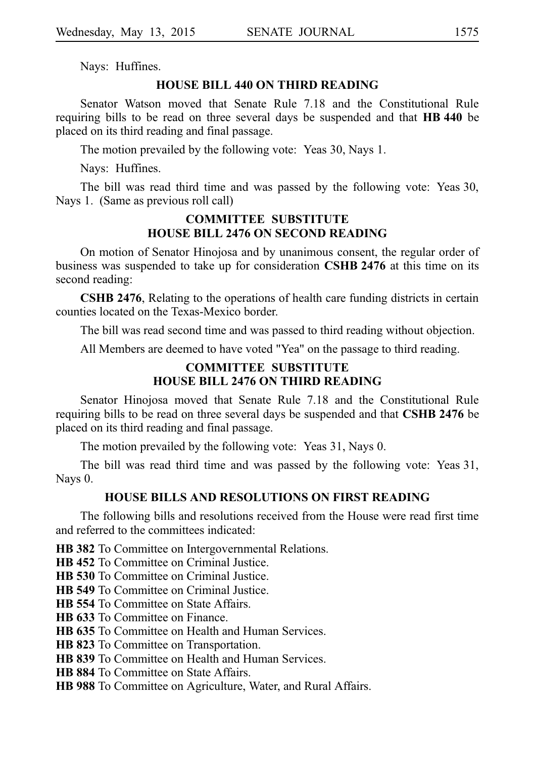Nays: Huffines.

#### **HOUSE BILL 440 ON THIRD READING**

Senator Watson moved that Senate Rule 7.18 and the Constitutional Rule requiring bills to be read on three several days be suspended and that **HB 440** be placed on its third reading and final passage.

The motion prevailed by the following vote: Yeas 30, Nays 1.

Nays: Huffines.

The bill was read third time and was passed by the following vote: Yeas 30, Nays 1. (Same as previous roll call)

#### **COMMITTEE SUBSTITUTE HOUSE BILL 2476 ON SECOND READING**

On motion of Senator Hinojosa and by unanimous consent, the regular order of business was suspended to take up for consideration **CSHB 2476** at this time on its second reading:

**CSHB 2476**, Relating to the operations of health care funding districts in certain counties located on the Texas-Mexico border.

The bill was read second time and was passed to third reading without objection.

All Members are deemed to have voted "Yea" on the passage to third reading.

#### **COMMITTEE SUBSTITUTE HOUSE BILL 2476 ON THIRD READING**

Senator Hinojosa moved that Senate Rule 7.18 and the Constitutional Rule requiring bills to be read on three several days be suspended and that **CSHB 2476** be placed on its third reading and final passage.

The motion prevailed by the following vote: Yeas 31, Nays 0.

The bill was read third time and was passed by the following vote: Yeas 31, Nays 0.

### **HOUSE BILLS AND RESOLUTIONS ON FIRST READING**

The following bills and resolutions received from the House were read first time and referred to the committees indicated:

**HB 382** To Committee on Intergovernmental Relations.

**HB 452** To Committee on Criminal Justice.

**HB 530** To Committee on Criminal Justice.

**HB 549** To Committee on Criminal Justice.

**HB 554** To Committee on State Affairs.

**HB 633** To Committee on Finance.

**HB 635** To Committee on Health and Human Services.

**HB 823** To Committee on Transportation.

**HB 839** To Committee on Health and Human Services.

**HB 884** To Committee on State Affairs.

**HB 988** To Committee on Agriculture, Water, and Rural Affairs.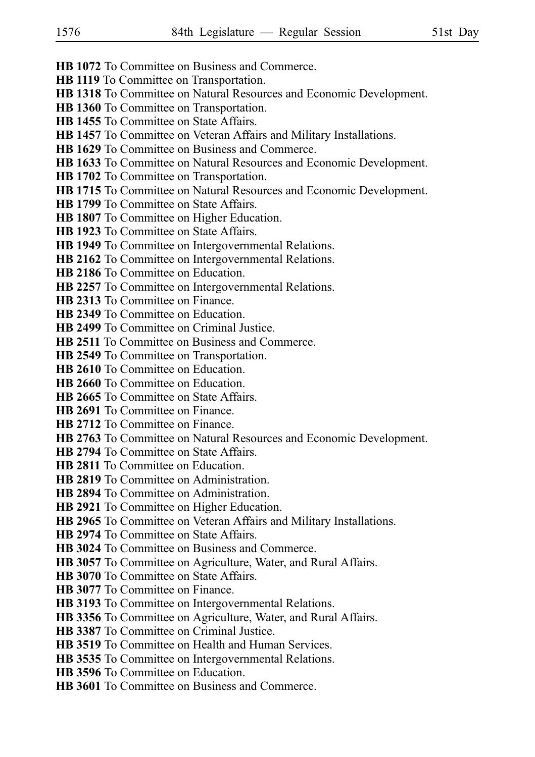- **HB 1072** To Committee on Business and Commerce.
- **HB 1119** To Committee on Transportation.
- **HB 1318** To Committee on Natural Resources and Economic Development.
- **HB 1360** To Committee on Transportation.
- **HB 1455** To Committee on State Affairs.
- **HB 1457** To Committee on Veteran Affairs and Military Installations.
- **HB 1629** To Committee on Business and Commerce.
- **HB 1633** To Committee on Natural Resources and Economic Development.
- **HB 1702** To Committee on Transportation.
- **HB 1715** To Committee on Natural Resources and Economic Development.
- **HB 1799** To Committee on State Affairs.
- **HB 1807** To Committee on Higher Education.
- **HB 1923** To Committee on State Affairs.
- **HB 1949** To Committee on Intergovernmental Relations.
- **HB 2162** To Committee on Intergovernmental Relations.
- **HB 2186** To Committee on Education.
- **HB 2257** To Committee on Intergovernmental Relations.
- **HB 2313** To Committee on Finance.
- **HB 2349** To Committee on Education.
- **HB 2499** To Committee on Criminal Justice.
- **HB 2511** To Committee on Business and Commerce.
- **HB 2549** To Committee on Transportation.
- **HB 2610** To Committee on Education.
- **HB 2660** To Committee on Education.
- **HB 2665** To Committee on State Affairs.
- **HB 2691** To Committee on Finance.
- **HB 2712** To Committee on Finance.
- **HB 2763** To Committee on Natural Resources and Economic Development.
- **HB 2794** To Committee on State Affairs.
- **HB 2811** To Committee on Education.
- **HB 2819** To Committee on Administration.
- **HB 2894** To Committee on Administration.
- **HB 2921** To Committee on Higher Education.
- **HB 2965** To Committee on Veteran Affairs and Military Installations.
- **HB 2974** To Committee on State Affairs.
- **HB 3024** To Committee on Business and Commerce.
- **HB 3057** To Committee on Agriculture, Water, and Rural Affairs.
- **HB 3070** To Committee on State Affairs.
- **HB 3077** To Committee on Finance.
- **HB 3193** To Committee on Intergovernmental Relations.
- **HB 3356** To Committee on Agriculture, Water, and Rural Affairs.
- **HB 3387** To Committee on Criminal Justice.
- **HB 3519** To Committee on Health and Human Services.
- **HB 3535** To Committee on Intergovernmental Relations.
- **HB 3596** To Committee on Education.
- **HB 3601** To Committee on Business and Commerce.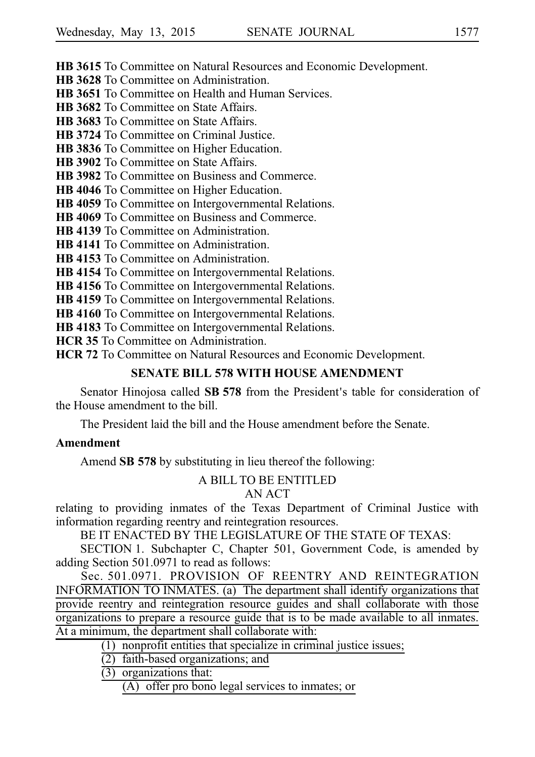**HB 3615** To Committee on Natural Resources and Economic Development.

**HB 3628** To Committee on Administration.

**HB 3651** To Committee on Health and Human Services.

**HB 3682** To Committee on State Affairs.

**HB 3683** To Committee on State Affairs.

**HB 3724** To Committee on Criminal Justice.

**HB 3836** To Committee on Higher Education.

**HB 3902** To Committee on State Affairs.

**HB 3982** To Committee on Business and Commerce.

**HB 4046** To Committee on Higher Education.

**HB 4059** To Committee on Intergovernmental Relations.

**HB 4069** To Committee on Business and Commerce.

**HB 4139** To Committee on Administration.

**HB 4141** To Committee on Administration.

**HB 4153** To Committee on Administration.

**HB 4154** To Committee on Intergovernmental Relations.

**HB 4156** To Committee on Intergovernmental Relations.

**HB 4159** To Committee on Intergovernmental Relations.

**HB 4160** To Committee on Intergovernmental Relations.

**HB 4183** To Committee on Intergovernmental Relations.

**HCR 35** To Committee on Administration.

**HCR 72** To Committee on Natural Resources and Economic Development.

### **SENATE BILL 578 WITH HOUSE AMENDMENT**

Senator Hinojosa called **SB 578** from the President's table for consideration of the House amendment to the bill.

The President laid the bill and the House amendment before the Senate.

#### **Amendment**

Amend **SB 578** by substituting in lieu thereof the following:

#### A BILL TO BE ENTITLED

#### AN ACT

relating to providing inmates of the Texas Department of Criminal Justice with information regarding reentry and reintegration resources.

BE IT ENACTED BY THE LEGISLATURE OF THE STATE OF TEXAS:

SECTION 1. Subchapter C, Chapter 501, Government Code, is amended by adding Section 501.0971 to read as follows:

Sec. 501.0971. PROVISION OF REENTRY AND REINTEGRATION INFORMATION TO INMATES. (a) The department shall identify organizations that provide reentry and reintegration resource guides and shall collaborate with those organizations to prepare a resource guide that is to be made available to all inmates. At a minimum, the department shall collaborate with:

 $(1)$  nonprofit entities that specialize in criminal justice issues;

 $\overline{(2)}$  faith-based organizations; and

 $(3)$  organizations that:

 $(A)$  offer pro bono legal services to inmates; or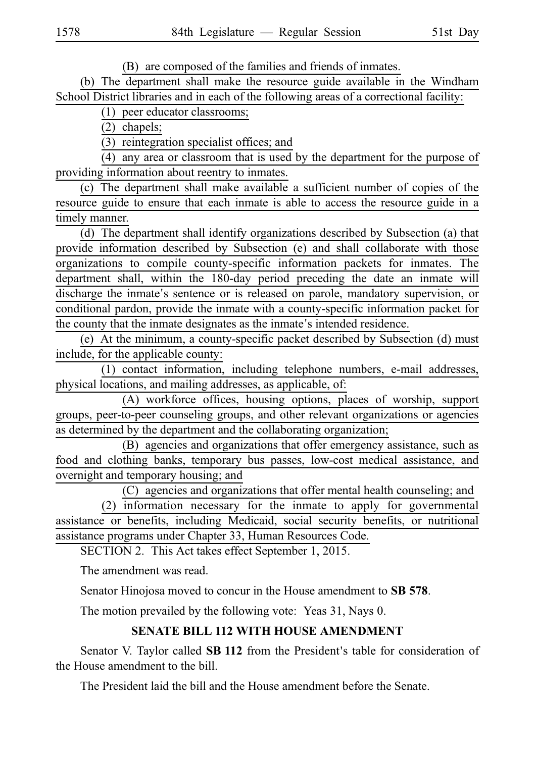(B) are composed of the families and friends of inmates.

(b) The department shall make the resource guide available in the Windham School District libraries and in each of the following areas of a correctional facility:

 $(1)$  peer educator classrooms;

 $(2)$  chapels;

(3) reintegration specialist offices; and

 $(4)$  any area or classroom that is used by the department for the purpose of providing information about reentry to inmates.

 $(c)$  The department shall make available a sufficient number of copies of the resource guide to ensure that each inmate is able to access the resource guide in a timely manner.

(d) The department shall identify organizations described by Subsection (a) that provide information described by Subsection (e) and shall collaborate with those organizations to compile county-specific information packets for inmates. The department shall, within the 180-day period preceding the date an inmate will discharge the inmate's sentence or is released on parole, mandatory supervision, or conditional pardon, provide the inmate with a county-specific information packet for the county that the inmate designates as the inmate's intended residence.

(e) At the minimum, a county-specific packet described by Subsection (d) must include, for the applicable county:

 $(1)$  contact information, including telephone numbers, e-mail addresses, physical locations, and mailing addresses, as applicable, of:

(A) workforce offices, housing options, places of worship, support groups, peer-to-peer counseling groups, and other relevant organizations or agencies as determined by the department and the collaborating organization;

(B) agencies and organizations that offer emergency assistance, such as food and clothing banks, temporary bus passes, low-cost medical assistance, and overnight and temporary housing; and

(C) agencies and organizations that offer mental health counseling; and  $(2)$  information necessary for the inmate to apply for governmental assistance or benefits, including Medicaid, social security benefits, or nutritional assistance programs under Chapter 33, Human Resources Code.

SECTION 2. This Act takes effect September 1, 2015.

The amendment was read.

Senator Hinojosa moved to concur in the House amendment to **SB 578**.

The motion prevailed by the following vote: Yeas 31, Nays 0.

### **SENATE BILL 112 WITH HOUSE AMENDMENT**

Senator V. Taylor called **SB 112** from the President's table for consideration of the House amendment to the bill.

The President laid the bill and the House amendment before the Senate.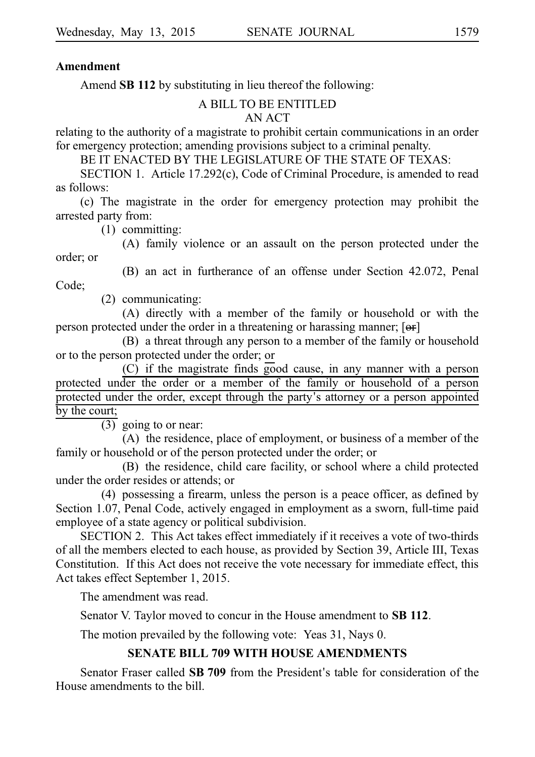#### **Amendment**

Amend **SB 112** by substituting in lieu thereof the following:

#### A BILL TO BE ENTITLED

#### AN ACT

relating to the authority of a magistrate to prohibit certain communications in an order for emergency protection; amending provisions subject to a criminal penalty.

BE IT ENACTED BY THE LEGISLATURE OF THE STATE OF TEXAS:

SECTION 1. Article  $17.292(c)$ , Code of Criminal Procedure, is amended to read as follows:

(c) The magistrate in the order for emergency protection may prohibit the arrested party from:

 $(1)$  committing:

(A) family violence or an assault on the person protected under the order; or

(B) an act in furtherance of an offense under Section 42.072, Penal

Code;

 $(2)$  communicating:

(A) directly with a member of the family or household or with the person protected under the order in a threatening or harassing manner;  $[**or**]$ 

(B) a threat through any person to a member of the family or household or to the person protected under the order; or

(C) if the magistrate finds good cause, in any manner with a person protected under the order or a member of the family or household of a person protected under the order, except through the party's attorney or a person appointed by the court;

 $\overline{(3)}$  going to or near:

 $(A)$  the residence, place of employment, or business of a member of the family or household or of the person protected under the order; or

(B) the residence, child care facility, or school where a child protected under the order resides or attends; or

 $(4)$  possessing a firearm, unless the person is a peace officer, as defined by Section 1.07, Penal Code, actively engaged in employment as a sworn, full-time paid employee of a state agency or political subdivision.

SECTION 2. This Act takes effect immediately if it receives a vote of two-thirds of all the members elected to each house, as provided by Section 39, Article III, Texas Constitution. If this Act does not receive the vote necessary for immediate effect, this Act takes effect September 1, 2015.

The amendment was read.

Senator V. Taylor moved to concur in the House amendment to SB 112.

The motion prevailed by the following vote: Yeas 31, Nays 0.

## **SENATE BILL 709 WITH HOUSE AMENDMENTS**

Senator Fraser called **SB 709** from the President's table for consideration of the House amendments to the bill.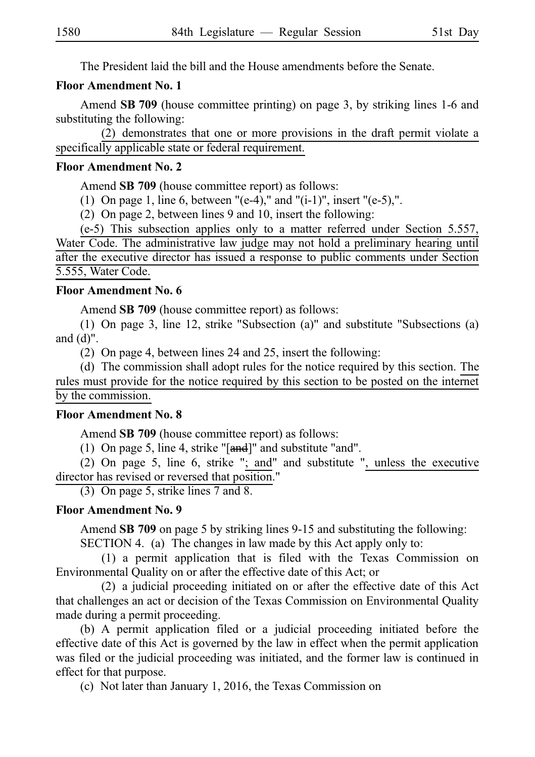The President laid the bill and the House amendments before the Senate.

#### **Floor Amendment No. 1**

Amend **SB 709** (house committee printing) on page 3, by striking lines 1-6 and substituting the following:

 $(2)$  demonstrates that one or more provisions in the draft permit violate a specifically applicable state or federal requirement.

#### **Floor Amendment No. 2**

Amend SB 709 (house committee report) as follows:

(1) On page 1, line 6, between "(e-4)," and "(i-1)", insert "(e-5),".

(2) On page 2, between lines 9 and 10, insert the following:

 $(e-5)$  This subsection applies only to a matter referred under Section 5.557, Water Code. The administrative law judge may not hold a preliminary hearing until after the executive director has issued a response to public comments under Section 5.555, Water Code.

#### **Floor Amendment No. 6**

Amend **SB 709** (house committee report) as follows:

(1) On page 3, line 12, strike "Subsection (a)" and substitute "Subsections (a) and  $(d)$ ".

(2) On page 4, between lines 24 and 25, insert the following:

(d) The commission shall adopt rules for the notice required by this section. The rules must provide for the notice required by this section to be posted on the internet by the commission.

#### **Floor Amendment No. 8**

Amend **SB 709** (house committee report) as follows:

(1) On page 5, line 4, strike " $[and]$ " and substitute "and".

(2) On page 5, line 6, strike "; and" and substitute ", unless the executive director has revised or reversed that position."

(3) On page 5, strike lines 7 and 8.

#### **Floor Amendment No. 9**

Amend SB 709 on page 5 by striking lines 9-15 and substituting the following:

SECTION 4. (a) The changes in law made by this Act apply only to:

 $(1)$  a permit application that is filed with the Texas Commission on Environmental Quality on or after the effective date of this Act; or

 $(2)$  a judicial proceeding initiated on or after the effective date of this Act that challenges an act or decision of the Texas Commission on Environmental Quality made during a permit proceeding.

(b) A permit application filed or a judicial proceeding initiated before the effective date of this Act is governed by the law in effect when the permit application was filed or the judicial proceeding was initiated, and the former law is continued in effect for that purpose.

(c) Not later than January 1, 2016, the Texas Commission on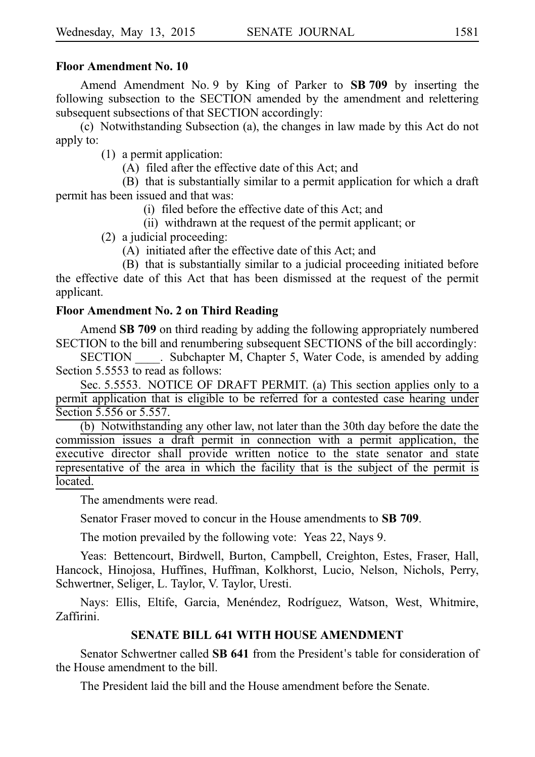#### **Floor Amendment No. 10**

Amend Amendment No. 9 by King of Parker to **SB 709** by inserting the following subsection to the SECTION amended by the amendment and relettering subsequent subsections of that SECTION accordingly:

(c) Notwithstanding Subsection (a), the changes in law made by this Act do not apply to:

 $(1)$  a permit application:

(A) filed after the effective date of this Act; and

(B) that is substantially similar to a permit application for which a draft permit has been issued and that was:

(i) filed before the effective date of this Act; and

(ii) withdrawn at the request of the permit applicant; or

 $(2)$  a judicial proceeding:

 $(A)$  initiated after the effective date of this Act; and

(B) that is substantially similar to a judicial proceeding initiated before the effective date of this Act that has been dismissed at the request of the permit applicant.

#### **Floor Amendment No. 2 on Third Reading**

Amend **SB 709** on third reading by adding the following appropriately numbered SECTION to the bill and renumbering subsequent SECTIONS of the bill accordingly:

SECTION Subchapter M, Chapter 5, Water Code, is amended by adding Section 5.5553 to read as follows:

Sec. 5.5553. NOTICE OF DRAFT PERMIT. (a) This section applies only to a permit application that is eligible to be referred for a contested case hearing under Section 5.556 or 5.557.

(b) Notwithstanding any other law, not later than the 30th day before the date the commission issues a draft permit in connection with a permit application, the executive director shall provide written notice to the state senator and state representative of the area in which the facility that is the subject of the permit is located.

The amendments were read.

Senator Fraser moved to concur in the House amendments to **SBi709**.

The motion prevailed by the following vote: Yeas 22, Nays 9.

Yeas: Bettencourt, Birdwell, Burton, Campbell, Creighton, Estes, Fraser, Hall, Hancock, Hinojosa, Huffines, Huffman, Kolkhorst, Lucio, Nelson, Nichols, Perry, Schwertner, Seliger, L. Taylor, V. Taylor, Uresti.

Nays: Ellis, Eltife, Garcia, Menéndez, Rodríguez, Watson, West, Whitmire, Zaffirini.

#### **SENATE BILL 641 WITH HOUSE AMENDMENT**

Senator Schwertner called **SB 641** from the President's table for consideration of the House amendment to the bill.

The President laid the bill and the House amendment before the Senate.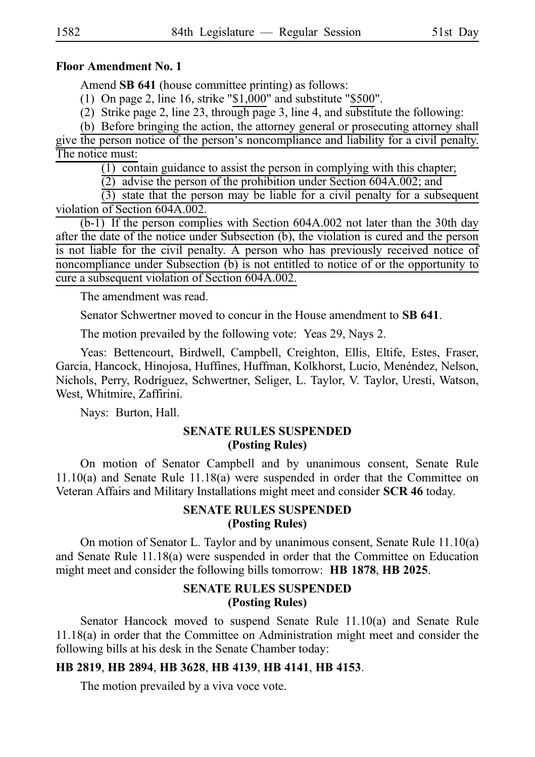#### **Floor Amendment No. 1**

Amend **SB 641** (house committee printing) as follows:

(1) On page 2, line 16, strike " $$1,000$ " and substitute " $$500$ ".

(2) Strike page 2, line 23, through page 3, line 4, and substitute the following:

(b) Before bringing the action, the attorney general or prosecuting attorney shall give the person notice of the person's noncompliance and liability for a civil penalty. The notice must:

 $(1)$  contain guidance to assist the person in complying with this chapter;

 $(2)$  advise the person of the prohibition under Section 604A.002; and

 $(3)$  state that the person may be liable for a civil penalty for a subsequent violation of Section 604A.002.

 $(b-1)$  If the person complies with Section 604A.002 not later than the 30th day after the date of the notice under Subsection (b), the violation is cured and the person is not liable for the civil penalty. A person who has previously received notice of noncompliance under Subsection (b) is not entitled to notice of or the opportunity to cure a subsequent violation of Section 604A.002.

The amendment was read.

Senator Schwertner moved to concur in the House amendment to **SB 641**.

The motion prevailed by the following vote: Yeas 29, Nays 2.

Yeas: Bettencourt, Birdwell, Campbell, Creighton, Ellis, Eltife, Estes, Fraser, Garcia, Hancock, Hinojosa, Huffines, Huffman, Kolkhorst, Lucio, Menéndez, Nelson, Nichols, Perry, Rodríguez, Schwertner, Seliger, L. Taylor, V. Taylor, Uresti, Watson, West, Whitmire, Zaffirini.

Nays: Burton, Hall.

#### **SENATE RULES SUSPENDED (Posting Rules)**

On motion of Senator Campbell and by unanimous consent, Senate Rule 11.10(a) and Senate Rule 11.18(a) were suspended in order that the Committee on Veteran Affairs and Military Installations might meet and consider **SCR 46** today.

#### **SENATE RULES SUSPENDED (Posting Rules)**

On motion of Senator L. Taylor and by unanimous consent, Senate Rule 11.10(a) and Senate Rule 11.18(a) were suspended in order that the Committee on Education might meet and consider the following bills tomorrow: **HB 1878**, **HB 2025**.

#### **SENATE RULES SUSPENDED (Posting Rules)**

Senator Hancock moved to suspend Senate Rule 11.10(a) and Senate Rule 11.18(a) in order that the Committee on Administration might meet and consider the following bills at his desk in the Senate Chamber today:

#### **HBi2819**, **HBi2894**, **HBi3628**, **HBi4139**, **HBi4141**, **HBi4153**.

The motion prevailed by a viva voce vote.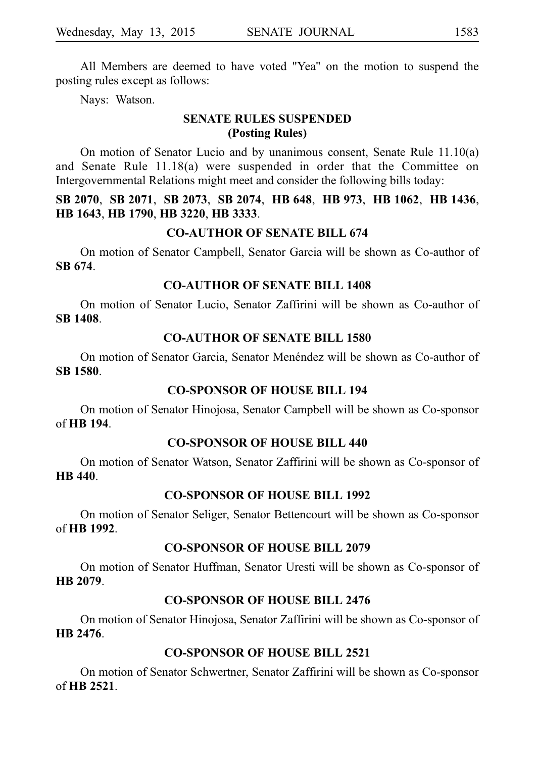All Members are deemed to have voted "Yea" on the motion to suspend the posting rules except as follows:

Nays: Watson.

# **SENATE RULES SUSPENDED (Posting Rules)**

On motion of Senator Lucio and by unanimous consent, Senate Rule 11.10(a) and Senate Rule 11.18(a) were suspended in order that the Committee on Intergovernmental Relations might meet and consider the following bills today:

#### **SBi2070**, **SBi2071**, **SBi2073**, **SBi2074**, **HBi648**, **HBi973**, **HBi1062**, **HBi1436**, **HBi1643**, **HBi1790**, **HBi3220**, **HBi3333**.

#### **CO-AUTHOR OF SENATE BILL 674**

On motion of Senator Campbell, Senator Garcia will be shown as Co-author of **SBi674**.

#### **CO-AUTHOR OF SENATE BILL 1408**

On motion of Senator Lucio, Senator Zaffirini will be shown as Co-author of **SBi1408**.

#### **CO-AUTHOR OF SENATE BILL 1580**

On motion of Senator Garcia, Senator Menéndez will be shown as Co-author of **SBi1580**.

#### **CO-SPONSOR OF HOUSE BILL 194**

On motion of Senator Hinojosa, Senator Campbell will be shown as Co-sponsor of **HBi194**.

# **CO-SPONSOR OF HOUSE BILL 440**

On motion of Senator Watson, Senator Zaffirini will be shown as Co-sponsor of **HB** 440.

#### **CO-SPONSOR OF HOUSE BILL 1992**

On motion of Senator Seliger, Senator Bettencourt will be shown as Co-sponsor of **HBi1992**.

#### **CO-SPONSOR OF HOUSE BILL 2079**

On motion of Senator Huffman, Senator Uresti will be shown as Co-sponsor of **HBi2079**.

#### **CO-SPONSOR OF HOUSE BILL 2476**

On motion of Senator Hinojosa, Senator Zaffirini will be shown as Co-sponsor of **HBi2476**.

# **CO-SPONSOR OF HOUSE BILL 2521**

On motion of Senator Schwertner, Senator Zaffirini will be shown as Co-sponsor of **HBi2521**.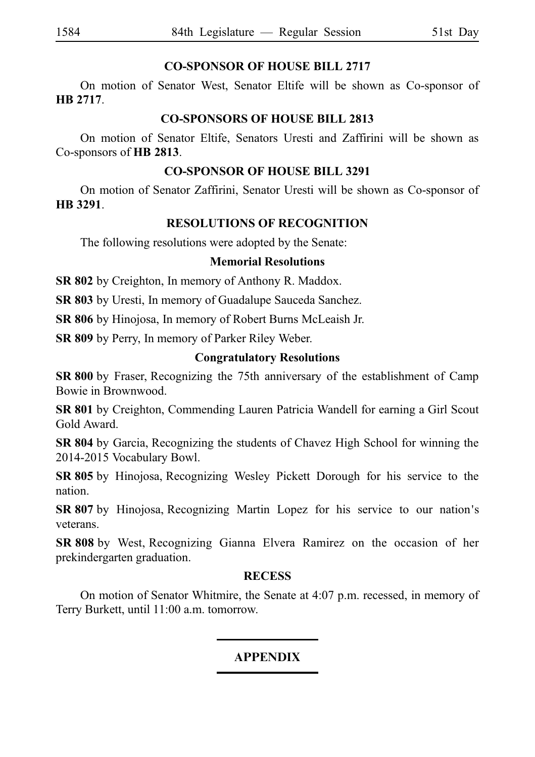### **CO-SPONSOR OF HOUSE BILL 2717**

On motion of Senator West, Senator Eltife will be shown as Co-sponsor of **HB** 2717.

#### **CO-SPONSORS OF HOUSE BILL 2813**

On motion of Senator Eltife, Senators Uresti and Zaffirini will be shown as Co-sponsors of **HB** 2813.

# **CO-SPONSOR OF HOUSE BILL 3291**

On motion of Senator Zaffirini, Senator Uresti will be shown as Co-sponsor of **HBi3291**.

### **RESOLUTIONS OF RECOGNITION**

The following resolutions were adopted by the Senate:

### **Memorial Resolutions**

**SR 802** by Creighton, In memory of Anthony R. Maddox.

**SR 803** by Uresti, In memory of Guadalupe Sauceda Sanchez.

**SR 806** by Hinojosa, In memory of Robert Burns McLeaish Jr.

**SR 809** by Perry, In memory of Parker Riley Weber.

### **Congratulatory Resolutions**

**SR 800** by Fraser, Recognizing the 75th anniversary of the establishment of Camp Bowie in Brownwood.

**SR 801** by Creighton, Commending Lauren Patricia Wandell for earning a Girl Scout Gold Award.

**SR 804** by Garcia, Recognizing the students of Chavez High School for winning the 2014-2015 Vocabulary Bowl.

**SR 805** by Hinojosa, Recognizing Wesley Pickett Dorough for his service to the nation.

**SR 807** by Hinojosa, Recognizing Martin Lopez for his service to our nation's veterans.

**SR 808** by West, Recognizing Gianna Elvera Ramirez on the occasion of her prekindergarten graduation.

#### **RECESS**

On motion of Senator Whitmire, the Senate at 4:07 p.m. recessed, in memory of Terry Burkett, until 11:00 a.m. tomorrow.

# **APPENDIX**